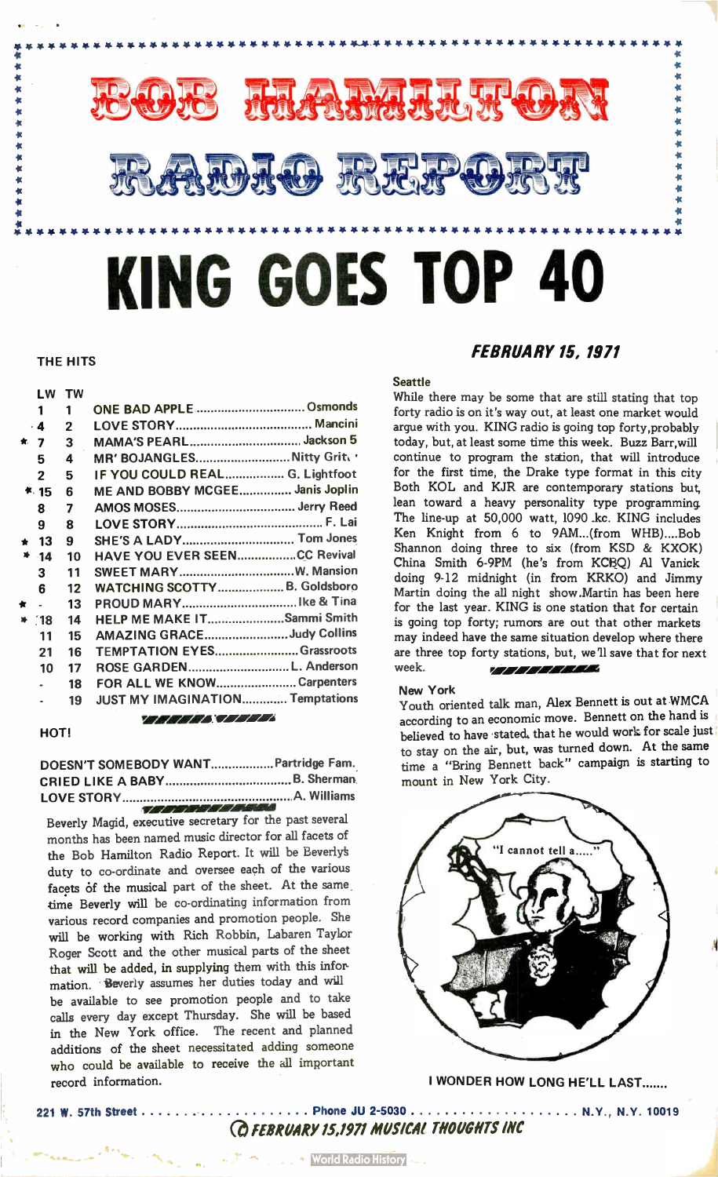

#### THE HITS

# LW TW 1 1 ONE BAD APPLE Osmonds 4 2 LOVE STORY Mancini \* 7 3 MAMA'S PEARL Jackson 5 5 4 MR' BOJANGLES.............................Nitty Grit. 2 5 IF YOU COULD REAL.................. G. Lightfoot 15 6 ME AND BOBBY MCGEE................ Janis Joplin 8 7 AMOS MOSES Jerry Reed 9 8 LOVE STORY Lai F \* 13 9 SHE'S A LADY Tom Jones 14 10 HAVE YOU EVER SEEN.....................CC Revival 3 11 SWEET MARY W Mansion 6 12 WATCHING SCOTTY ..................... B. Goldsboro 13 PROUD MARY Ike & Tma [18 14 HELP ME MAKE IT......................Sammi Smith 11 15 AMAZING GRACE.........................Judy Collins 21 16 TEMPTATION EYES.......................Grassroots 10 17 ROSE GARDEN...................................L. Anderson 18 FOR ALL WE KNOW.........................Carpenters 19 JUST MY IMAGINATION.............Temptations 777777877777

# HOT!

DOESN'T SOMEBODY WANT................... Partridge Fam. CRIED LIKE A BABY B. Sherman LOVE STORY A. Williams

 $\sqrt{2}$  rational results of the  $\sqrt{2}$ Beverly Magid, executive secretary for the past several months has been named music director for all facets of the Bob Hamilton Radio Report. It will be Leverly duty to co-ordinate and oversee each of the various facets of the musical part of the sheet. At the same time Beverly will be co-ordinating information from various record companies and promotion people. She will be working with Rich Robbin, Labaren Taylor Roger Scott and the other musical parts of the sheet that will be added, in supplying them with this information. Beverly assumes her duties today and will be available to see promotion people and to take calls every day except Thursday. She will be based in the New York office. The recent and planned additions of the sheet necessitated adding someone who could be available to receive the all important record information.

# FEBRUARY 15, 1971

# **Seattle**

While there may be some that are still stating that top forty radio is on it's way out, at least one market would argue with you. KING radio is going top forty,probably today, but, at least some time this week. Buzz Barr,will continue to program the station, that will introduce for the first time, the Drake type format in this city Both KOL and KJR are contemporary stations but, lean toward a heavy personality type programming. The line-up at 50,000 watt, 1090 kc. KING includes Ken Knight from 6 to 9AM...(from WHB)....Bob Shannon doing three to six (from KSD & KXOK) China Smith 6-9PM (he's from KCBQ) Al Vanick doing 9-12 midnight (in from KRKO) and Jimmy Martin doing the all night show.Martin has been here for the last year. KING is one station that for certain is going top forty; rumors are out that other markets may indeed have the same situation develop where there are three top forty stations, but, we'll save that for next week. *rij IIIIIIIII* 

#### New York

Youth oriented talk man, Alex Bennett is out at WMCA according to an economic move. Bennett on the hand is believed to have stated, that he would work for scale just to stay on the air, but, was turned down. At the same time a "Bring Bennett back" campaign is starting to mount in New York City.



I WONDER HOW LONG HE'LL LAST.......

 $...$  N.Y., N.Y. 10019

221 W. 57th Street Phone JU 2-5030

Cd FEBRUARY 15,1971 MUSICAI THOUGHTS INC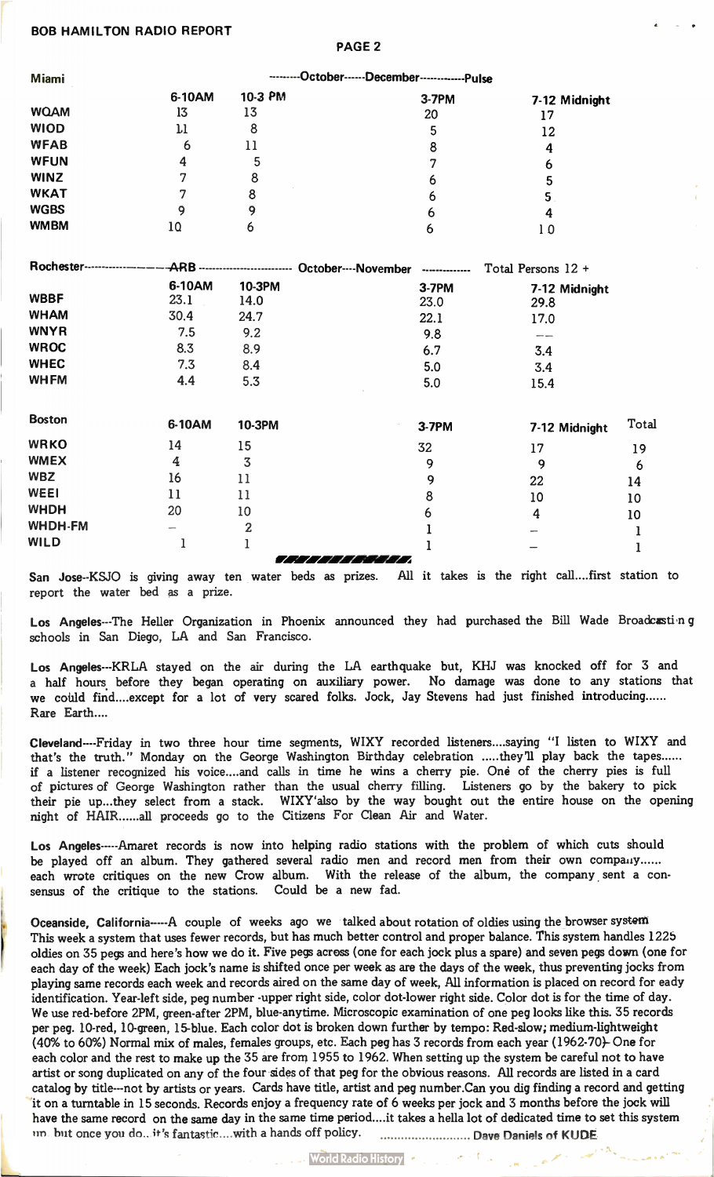# BOB HAMILTON RADIO REPORT

PAGE 2

| Miami        | --------October------December-------------Pulse |                                  |                     |                |                    |  |  |
|--------------|-------------------------------------------------|----------------------------------|---------------------|----------------|--------------------|--|--|
|              | 6-10AM                                          | 10-3 PM                          |                     | 3-7PM          | 7-12 Midnight      |  |  |
| <b>WQAM</b>  | 13                                              | 13                               |                     | 20             | 17                 |  |  |
| <b>WIOD</b>  | $\mathbf{\mu}$                                  | 8                                |                     | 5              | 12                 |  |  |
| <b>WFAB</b>  | 6                                               | 11                               |                     | 8              | 4                  |  |  |
| <b>WFUN</b>  | 4                                               | 5                                |                     |                | 6                  |  |  |
| <b>WINZ</b>  |                                                 | 8                                |                     | 6              | 5                  |  |  |
| <b>WKAT</b>  |                                                 | 8                                |                     | h              | 5                  |  |  |
| <b>WGBS</b>  | 9                                               | 9                                |                     | 6              | 4                  |  |  |
| <b>WMBM</b>  | 10                                              | 6                                |                     | 6              | 10                 |  |  |
| Rochester--- |                                                 | -ARB --------------------------- | October----November | -------------- | Total Persons 12 + |  |  |
|              | 6-10AM                                          | <b>10-3PM</b>                    |                     | <b>3-7PM</b>   | 7-12 Midnight      |  |  |
| <b>WBBF</b>  | 23.1                                            | 14.0                             |                     | 23.0           | 29.8               |  |  |
| <b>WHAM</b>  | 30.4                                            | 24.7                             |                     | 22.1           | 17.0               |  |  |
|              |                                                 |                                  |                     |                |                    |  |  |

 $\frac{1}{2}$  6.3 6.9 6.7 6.7 6.7 3.4 WHEC 7.3 8.4 5.0 3.4 VVH FM 4.4 5.3 5.0 15.4

 $WNYH$  7.5 9.2 9.8

|                |                          |                  | $\sim$                                |               |       |
|----------------|--------------------------|------------------|---------------------------------------|---------------|-------|
| <b>Boston</b>  | 6-10AM                   | <b>10-3PM</b>    | 3-7PM                                 | 7-12 Midnight | Total |
| <b>WRKO</b>    | 14                       | 15               | 32                                    | 17            | 19    |
| <b>WMEX</b>    | 4                        | 3                | 9                                     | 9             | 6     |
| <b>WBZ</b>     | 16                       | 11               | 9                                     | 22            | 14    |
| <b>WEEI</b>    | 11                       | 11               | 8                                     | 10            | 10    |
| <b>WHDH</b>    | 20                       | 10               | 6                                     | 4             | 10    |
| <b>WHDH-FM</b> | $\overline{\phantom{a}}$ | $\boldsymbol{2}$ |                                       |               |       |
| <b>WILD</b>    |                          |                  |                                       |               |       |
|                |                          |                  | 7 - 7 - 7 - 7 - 7 - 7 - 7 - 7 - 7 - 7 |               |       |

San Jose--KSJO is giving away ten water beds as prizes. All it takes is the right call....first station to report the water bed as a prize.

Los Angeles---The Heller Organization in Phoenix announced they had purchased the Bill Wade Broadcasti ng schools in San Diego, LA and San Francisco.

Los Angeles---KRLA stayed on the air during the LA earthquake but, KHJ was knocked off for 3 and a half hours before they began operating on auxiliary power. No damage was done to any stations that we could find....except for a lot of very scared folks. Jock, Jay Stevens had just finished introducing... Rare Earth....

Cleveland----Friday in two three hour time segments, WIXY recorded listeners....saying "I listen to WIXY and that's the truth." Monday on the George Washington Birthday celebration .....they'll play back the tapes...... if a listener recognized his voice... and calls in time he wins a cherry pie. Onè of the cherry pies is full of pictures of George Washington rather than the usual cherry filling. Listeners go by the bakery to pick their pie up...they select from a stack. WIXY'also by the way bought out the entire house on the opening night of HAIR ......all proceeds go to the Citizens For Clean Air and Water.

Los Angeles-----Amaret records is now into helping radio stations with the problem of which cuts should be played off an album. They gathered several radio men and record men from their own company...... each wrote critiques on the new Crow album. With the release of the album, the company sent a consensus of the critique to the stations. Could be a new fad.

Oceanside, California-----A couple of weeks ago we talked about rotation of oldies using the browser system This week a system that uses fewer records, but has much better control and proper balance. This system handles 1225 oldies on 35 pegs and here's how we do it. Five pegs across (one for each jock plus a spare) and seven pegs down (one for each day of the week) Each jock's name is shifted once per week as are the days of the week, thus preventing jocks from playing same records each week and records aired on the same day of week, All information is placed on record for eady identification. Year-left side, peg number -upper right side, color dot-lower right side. Color dot is for the time of day. We use red-before 2PM, green-after 2PM, blue-anytime. Microscopic examination of one peg looks like this. 35 records per peg. 10-red, 10-green, 15-blue. Each color dot is broken down further by tempo: Red-slow; medium-lightweight (40% to 60%) Normal mix of males, females groups, etc. Each peg has 3 records from each year (1962-70)- One for each color and the rest to make up the 35 are from 1955 to 1962. When setting up the system be careful not to have artist or song duplicated on any of the four sides of that peg for the obvious reasons. All records are listed in a card catalog by title---not by artists or years. Cards have title, artist and peg number.Can you dig finding a record and getting it on a turntable in 15 seconds. Records enjoy a frequency rate of 6 weeks per jock and 3 months before the jock will have the same record on the same day in the same time period... .it takes a hella lot of dedicated time to set this system un but once you do.. it's fantastic ... with a hands off policy. Manuscritic margin Dave Daniels of KUDE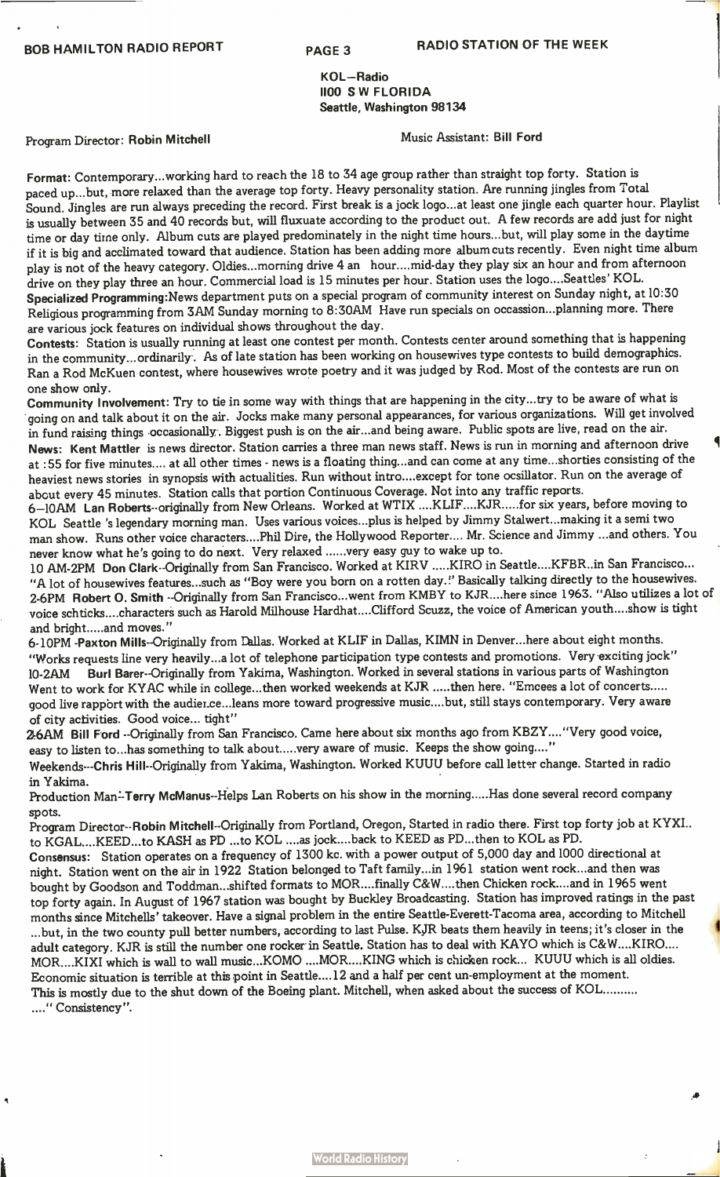KOL—Radio 1100 SW FLORIDA Seattle, Washington 98134

Program Director: Robin Mitchell Music Assistant: Bill Ford

Format: Contemporary...working hard to reach the 18 to 34 age group rather than straight top forty. Station is paced up...but, more relaxed than the average top forty. Heavy personality station. Are running jingles from Total Sound. Jingles are run always preceding the record. First break is a jock logo...at least one jingle each quarter hour. Playlist is usually between 35 and 40 records but, will fluxuate according to the product out. A few records are add just for night time or day time only. Album cuts are played predominately in the night time hours...but, will play some in the daytime if it is big and acclimated toward that audience. Station has been adding more album cuts recently. Even night time album play is not of the heavy category. Oldies...morning drive 4 an hour....mid-day they play six an hour and from afternoon drive on they play three an hour. Commercial load is 15 minutes per hour. Station uses the logo....Seattles' KOL. Specialized Programming:News department puts on a special program of community interest on Sunday night, at 10:30 Religious programming from 3AM Sunday morning to 8:30AM Have run specials on occassion...planning more. There are various jock features on individual shows throughout the day.

Contests: Station is usually running at least one contest per month. Contests center around something that is happening in the community...ordinarily . As of late station has been working on housewives type contests to build demographics. Ran a Rod McKuen contest, where housewives wrote poetry and it was judged by Rod. Most of the contests are run on one show only.

Community Involvement: Try to tie in some way with things that are happening in the city...try to be aware of what is going on and talk about it on the air. Jocks make many personal appearances, for various organizations. Will get involved in fund raising things occasionally. Biggest push is on the air...and being aware. Public spots are live, read on the air. News: Kent Mattler is news director. Station carries a three man news staff. News is run in morning and afternoon drive at :55 for five minutes.... at all other times - news is a floating thing...and can come at any time...shorties consisting of the heaviest news stories in synopsis with actualities. Run without intro....except for tone ocsillator. Run on the average of abcut every 45 minutes. Station calls that portion Continuous Coverage. Not into any traffic reports.

6-10AM Lan Roberts--originally from New Orleans. Worked at WTIX ....KLIF....KJR.....for six years, before moving to KOL Seattle 's legendary morning man. Uses various voices.. plus is helped by Jimmy Stalwert...making it a semi two man show. Runs other voice characters... .Phil Dire, the Hollywood Reporter.... Mr. Science and Jimmy ...and others. You never know what he's going to do next. Very relaxed ......very easy guy to wake up to.

10 AM-2PM Don Clark--Originally from San Francisco. Worked at KIRV .....KIRO in Seattle....KFBR..in San Francisco... "A lot of housewives features...such as "Boy were you born on a rotten day !' Basically talking directly to the housewives. 2-6PM Robert O. Smith --Originally from San Francisco...went from KMBY to KJR....here since 1963. "Also utilizes a lot of voice schticks....characters such as Harold Milhouse Hardhat....Clifford Scuzz, the voice of American youth... .show is tight and bright ..... and moves."

6-10PM -Paxton Mills--Originally from Dallas. Worked at KLIF in Dallas, KIMN in Denver...here about eight months. "Works requests line very heavily...a lot of telephone participation type contests and promotions. Very exciting jock" 10-2AM Burl Barer--Originally from Yakima, Washington. Worked in several stations in various parts of Washington Went to work for KYAC while in college...then worked weekends at KJR .....then here. "Emcees a lot of concerts..... good live rapport with the audier.ce...leans more toward progressive music....but, still stays contemporary. Very aware of city activities. Good voice... tight"

2-6AM Bill Ford --Originally from San Francisco. Came here about six months ago from KBZY...."Very good voice, easy to listen to...has something to talk about.....very aware of music. Keeps the show going...."

Weekends---Chris Hill--Originally from Yakima, Washington. Worked KUUU before call letter change. Started in radio in Yakima.

Production Man-Terry McManus--Helps Lan Roberts on his show in the morning.....Has done several record company spots.

Program Director--Robin Mitchell--Originally from Portland, Oregon, Started in radio there. First top forty job at KYXI.. to KGAL....KEED...to KASH as PD ...to KOL ....as jock.. ..back to KEED as PD...then to KOL as PD.

Consensus: Station operates on a frequency of 1300 kc. with a power output of 5,000 day and 1000 directional at night. Station went on the air in 1922 Station belonged to Taft family...in 1961 station went rock...and then was bought by Goodson and Toddman...shifted formats to MOR....finally C&W....then Chicken rock....and in 1965 went top forty again. In August of 1967 station was bought by Buckley Broadcasting. Station has improved ratings in the past months since Mitchells' takeover. Have a signal problem in the entire Seattle-Everett-Tacoma area, according to Mitchell ...but, in the two county pull better numbers, according to last Pulse. KJR beats them heavily in teens; it's closer in the adult category. KJR is still the number one rocker in Seattle. Station has to deal with KAYO which is C&W....KIRO.... MOR....KIXI which is wall to wall music...KOMO ....MOR....KING which is chicken rock... KUUU which is all oldies. Economic situation is terrible at this point in Seattle....12 and a half per cent un -employment at the moment. This is mostly due to the shut down of the Boeing plant. Mitchell, when asked about the success of KOL ...." Consistency".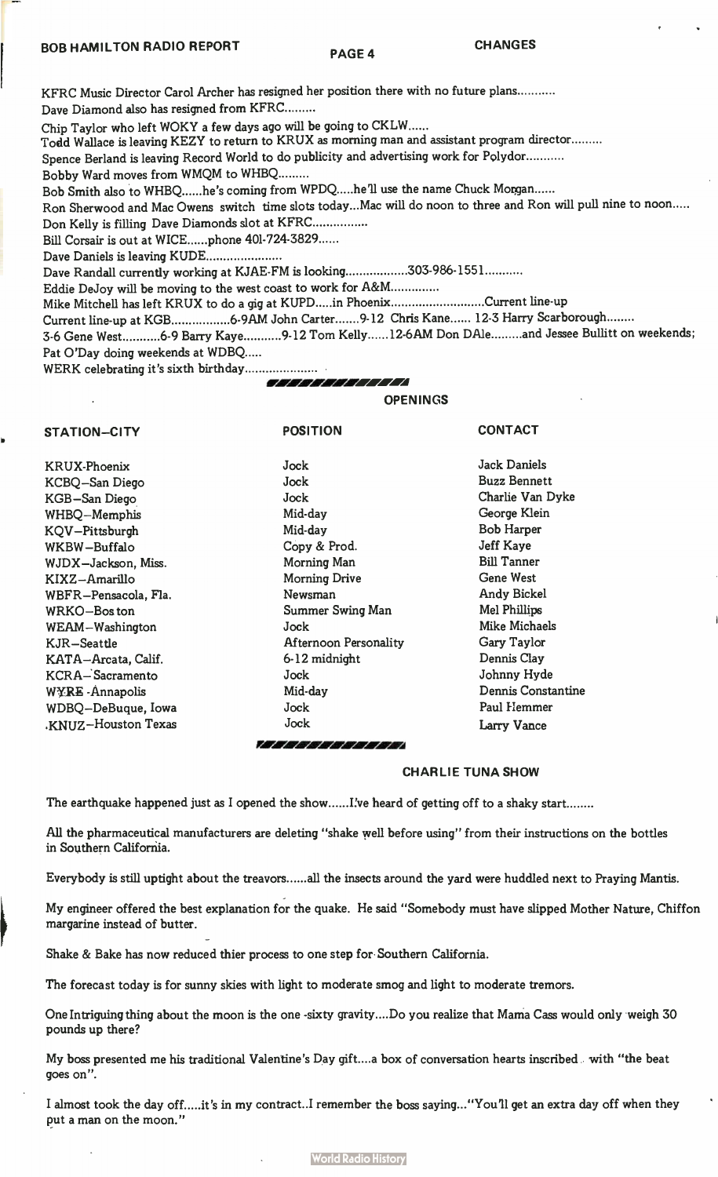KFRC Music Director Carol Archer has resigned her position there with no future plans Dave Diamond also has resigned from KFRC

Chip Taylor who left WOKY a few days ago will be going to CKLW

Todd Wallace is leaving KEZY to return to KRUX as morning man and assistant program director

Spence Berland is leaving Record World to do publicity and advertising work for Polydor

Bobby Ward moves from WMQM to WHBQ

Bob Smith also to WHBQ ......he's coming from WPDQ .....he'll use the name Chuck Morgan ......

Ron Sherwood and Mac Owens switch time slots today...Mac will do noon to three and Ron will pull nine to noon

Don Kelly is filling Dave Diamonds slot at KFRC

Bill Corsair is out at WICE......phone 401-724-3829......

Dave Daniels is leaving KUDE

Dave Randall currently working at KJAE-FM is looking.................303-986-1551...........

Eddie DeJoy will be moving to the west coast to work for A&M

Mike Mitchell has left KRUX to do a gig at KUPD.....in Phoenix...........................Current line-up

POSITION

Current line-up at KGB..................6-9AM John Carter.......9-12 Chris Kane...... 12-3 Harry Scarborough........

3-6 Gene West ...........6-9 Barry Kaye ..........9-12 Tom Kelly ......12-6AM Don DAle ........and Jessee Bullitt on weekends; Pat O'Day doing weekends at WDBQ

WERK celebrating it's sixth birthday

IA VW/ PI I/4

### OPENINGS

KRUX-Phoenix KCBQ—San Diego KGB—San Diego WHBQ—Memphis KQV—Pittsburgh WKBW —Buffalo WJDX—Jackson, Miss. KIXZ—Amarillo WBFR —Pensacola, Fla. WRKO—Bos ton WEAM—Washington KJR—Seattle KATA—Arcata, Calif. KCRA— Sacramento WYRE -Annapolis WDBQ—DeBuque, Iowa .KNUZ—Houston Texas

STATION—CITY

Jock Jock Jock Mid-day Mid-day Copy & Prod. Morning Man Morning Drive Newsman Summer Swing Man Jock Afternoon Personality 6-12 midnight Jock Mid-day Jock Jock

**CONTACT** 

Jack Daniels Buzz Bennett Charlie Van Dyke George Klein Bob Harper Jeff Kaye Bill Tanner Gene West Andy Bickel Mel Phillips Mike Michaels Gary Taylor Dennis Clay Johnny Hyde Dennis Constantine Paul Hemmer Larry Vance

# CHARLIE TUNA SHOW

The earthquake happened just as I opened the show......I've heard of getting off to a shaky start........

zior4 FA d ra

All the pharmaceutical manufacturers are deleting "shake well before using" from their instructions on the bottles in Southern California.

Everybody is still uptight about the treavors......all the insects around the yard were huddled next to Praying Mantis.

My engineer offered the best explanation for the quake. He said "Somebody must have slipped Mother Nature, Chiffon margarine instead of butter.

Shake & Bake has now reduced thier process to one step for Southern California.

The forecast today is for sunny skies with light to moderate smog and light to moderate tremors.

One Intriguing thing about the moon is the one -sixty gravity.... Do you realize that Mama Cass would only weigh 30 pounds up there?

My boss presented me his traditional Valentine's Day gift....a box of conversation hearts inscribed with "the beat goes on".

I almost took the day off.....it's in my contract..I remember the boss saying..."You'll get an extra day off when they put a man on the moon."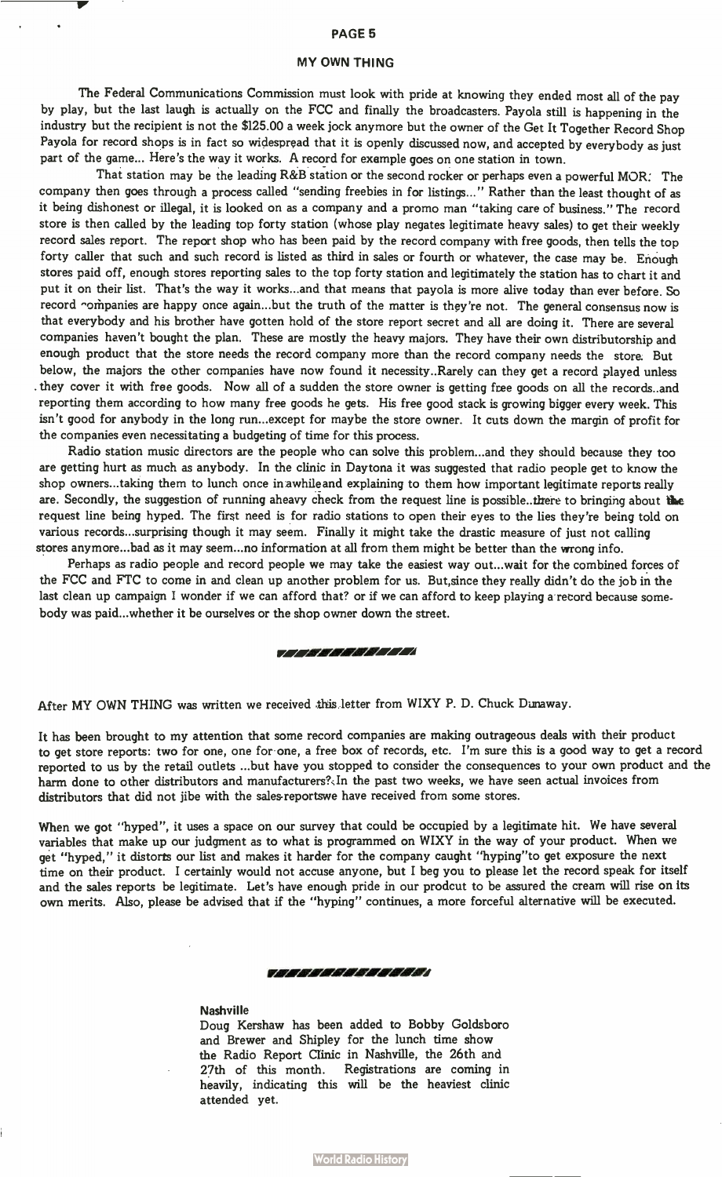# PAGE 5

# MY OWN THING

 $\ddot{\phantom{1}}$ 

The Federal Communications Commission must look with pride at knowing they ended most all of the pay by play, but the last laugh is actually on the FCC and finally the broadcasters. Payola still is happening in the industry but the recipient is not the \$125.00 a week jock anymore but the owner of the Get It Together Record Shop Payola for record shops is in fact so widespread that it is openly discussed now, and accepted by everybody as just part of the game... Here's the way it works. A record for example goes on one station in town.

That station may be the leading R&B station or the second rocker or perhaps even a powerful MOR: The company then goes through a process called "sending freebies in for listings..." Rather than the least thought of as it being dishonest or illegal, it is looked on as a company and a promo man "taking care of business." The record store is then called by the leading top forty station (whose play negates legitimate heavy sales) to get their weekly record sales report. The report shop who has been paid by the record company with free goods, then tells the top forty caller that such and such record is listed as third in sales or fourth or whatever, the case may be. Enough stores paid off, enough stores reporting sales to the top forty station and legitimately the station has to chart it and put it on their list. That's the way it works...and that means that payola is more alive today than ever before. So record -ompanies are happy once again...but the truth of the matter is they're not. The general consensus now is that everybody and his brother have gotten hold of the store report secret and all are doing it. There are several companies haven't bought the plan. These are mostly the heavy majors. They have their own distributorship and enough product that the store needs the record company more than the record company needs the store. But below, the majors the other companies have now found it necessity.. Rarely can they get a record played unless . they cover it with free goods. Now all of a sudden the store owner is getting free goods on all the records. and reporting them according to how many free goods he gets. His free good stack is growing bigger every week. This isn't good for anybody in the long run...except for maybe the store owner. It cuts down the margin of profit for the companies even necessitating a budgeting of time for this process.

Radio station music directors are the people who can solve this problem...and they should because they too are getting hurt as much as anybody. In the clinic in Daytona it was suggested that radio people get to know the shop owners.. taking them to lunch once in awhile and explaining to them how important legitimate reports really are. Secondly, the suggestion of running aheavy check from the request line is possible.. there to bringing about the request line being hyped. The first need is for radio stations to open their eyes to the lies they're being told on various records...surprising though it may seem. Finally it might take the drastic measure of just not calling stores anymore...bad as it may seem...no information at all from them might be better than the wrong info.

Perhaps as radio people and record people we may take the easiest way out...wait for the combined forces of the FCC and FTC to come in and clean up another problem for us. But,since they really didn't do the job in the last clean up campaign I wonder if we can afford that? or if we can afford to keep playing a record because somebody was paid...whether it be ourselves or the shop owner down the street.

#### II211 FA rA IA I I II

After MY OWN THING was written we received this letter from WIXY P. D. Chuck Dunaway.

It has been brought to my attention that some record companies are making outrageous deals with their product to get store reports: two for one, one for one, a free box of records, etc. I'm sure this is a good way to get a record reported to us by the retail outlets ...but have you stopped to consider the consequences to your own product and the harm done to other distributors and manufacturers? In the past two weeks, we have seen actual invoices from distributors that did not jibe with the sales-reportswe have received from some stores.

When we got "hyped", it uses a space on our survey that could be occupied by a legitimate hit. We have several variables that make up our judgment as to what is programmed on WIXY in the way of your product. When we get "hyped," it distorts our list and makes it harder for the company caught "hyping"to get exposure the next time on their product. I certainly would not accuse anyone, but I beg you to please let the record speak for itself and the sales reports be legitimate. Let's have enough pride in our prodcut to be assured the cream will rise on its own merits. Also, please be advised that if the "hyping" continues, a more forceful alternative will be executed.

#### II/4E1V. r4/4 I Kt I d Pri I VA r

### **Nashville**

Doug Kershaw has been added to Bobby Goldsboro and Brewer and Shipley for the lunch time show the Radio Report Clinic in Nashville, the 26th and 27th of this month. Registrations are coming in heavily, indicating this will be the heaviest clinic attended yet.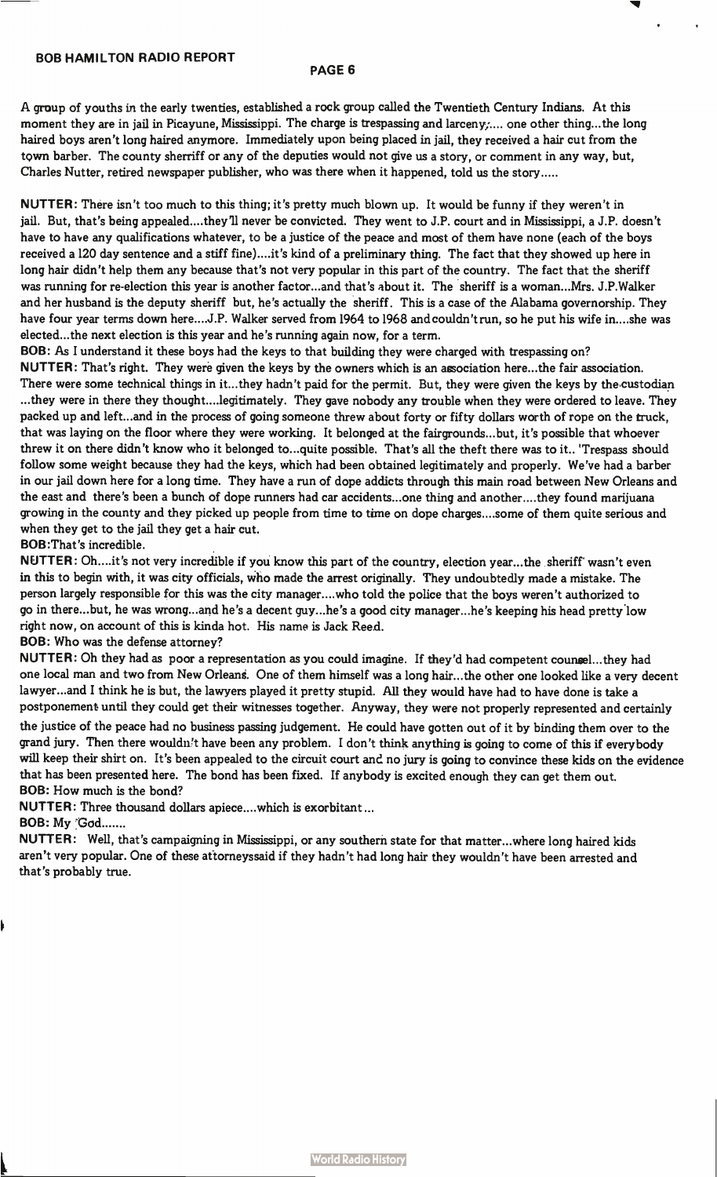# BOB HAMILTON RADIO REPORT

# PAGE 6

A group of youths in the early twenties, established a rock group called the Twentieth Century Indians. At this moment they are in jail in Picayune, Mississippi. The charge is trespassing and larceny;.... one other thing...the long haired boys aren't long haired anymore. Immediately upon being placed in jail, they received a hair cut from the town barber. The county sherriff or any of the deputies would not give us a story, or comment in any way, but, Charles Nutter, retired newspaper publisher, who was there when it happened, told us the story

NUTTER: There isn't too much to this thing; it's pretty much blown up. It would be funny if they weren't in jail. But, that's being appealed....they'll never be convicted. They went to J.P. court and in Mississippi, a J.P. doesn't have to have any qualifications whatever, to be a justice of the peace and most of them have none (each of the boys received a 120 day sentence and a stiff fine).. ..it's kind of a preliminary thing. The fact that they showed up here in long hair didn't help them any because that's not very popular in this part of the country. The fact that the sheriff was running for re-election this year is another factor...and that's about it. The sheriff is a woman...Mrs. J.P.Walker and her husband is the deputy sheriff but, he's actually the sheriff. This is a case of the Alabama governorship. They have four year terms down here....J.P. Walker served from 1964 to 1968 and couldn't run, so he put his wife in....she was elected...the next election is this year and he's running again now, for a term.

BOB: As I understand it these boys had the keys to that building they were charged with trespassing on?

NUTTER: That's right. They were given the keys by the owners which is an association here...the fair association. There were some technical things in it...they hadn't paid for the permit. But, they were given the keys by the custodian ...they were in there they thought... .legitimately. They gave nobody any trouble when they were ordered to leave. They packed up and left...and in the process of going someone threw about forty or fifty dollars worth of rope on the truck, that was laying on the floor where they were working. It belonged at the fairgrounds...but, it's possible that whoever threw it on there didn't know who it belonged to...quite possible. That's all the theft there was to it.. 'Trespass should follow some weight because they had the keys, which had been obtained legitimately and properly. We've had a barber in our jail down here for a long time. They have a run of dope addicts through this main road between New Orleans and the east and there's been a bunch of dope runners had car accidents...one thing and another....they found marijuana growing in the county and they picked up people from time to time on dope charges... .some of them quite serious and when they get to the jail they get a hair cut.

# BOB:That's incredible.

NUTTER: Oh.. ..it's not very incredible if you know this part of the country, election year...the sheriff wasn't even in this to begin with, it was city officials, who made the arrest originally. They undoubtedly made a mistake. The person largely responsible for this was the city manager... .who told the police that the boys weren't authorized to go in there...but, he was wrong...and he's a decent guy...he's a good city manager...he's keeping his head pretty low right now, on account of this is kinda hot. His name is Jack Reed.

# BOB: Who was the defense attorney?

NUTTER: Oh they had as poor a representation as you could imagine. If they'd had competent counsel...they had one local man and two from New Orleans. One of them himself was a long hair... the other one looked like a very decent lawyer...and I think he is but, the lawyers played it pretty stupid. All they would have had to have done is take a postponement until they could get their witnesses together. Anyway, they were not properly represented and certainly

the justice of the peace had no business passing judgement. He could have gotten out of it by binding them over to the grand jury. Then there wouldn't have been any problem. I don't think anything is going to come of this if everybody will keep their shirt on. It's been appealed to the circuit court and no jury is going to convince these kids on the evidence that has been presented here. The bond has been fixed. If anybody is excited enough they can get them out. BOB: How much is the bond?

NUTTER: Three thousand dollars apiece....which is exorbitant...

BOB: My God

NUTTER: Well, that's campaigning in Mississippi, or any southern state for that matter...where long haired kids aren't very popular. One of these attorneyssaid if they hadn't had long hair they wouldn't have been arrested and that's probably true.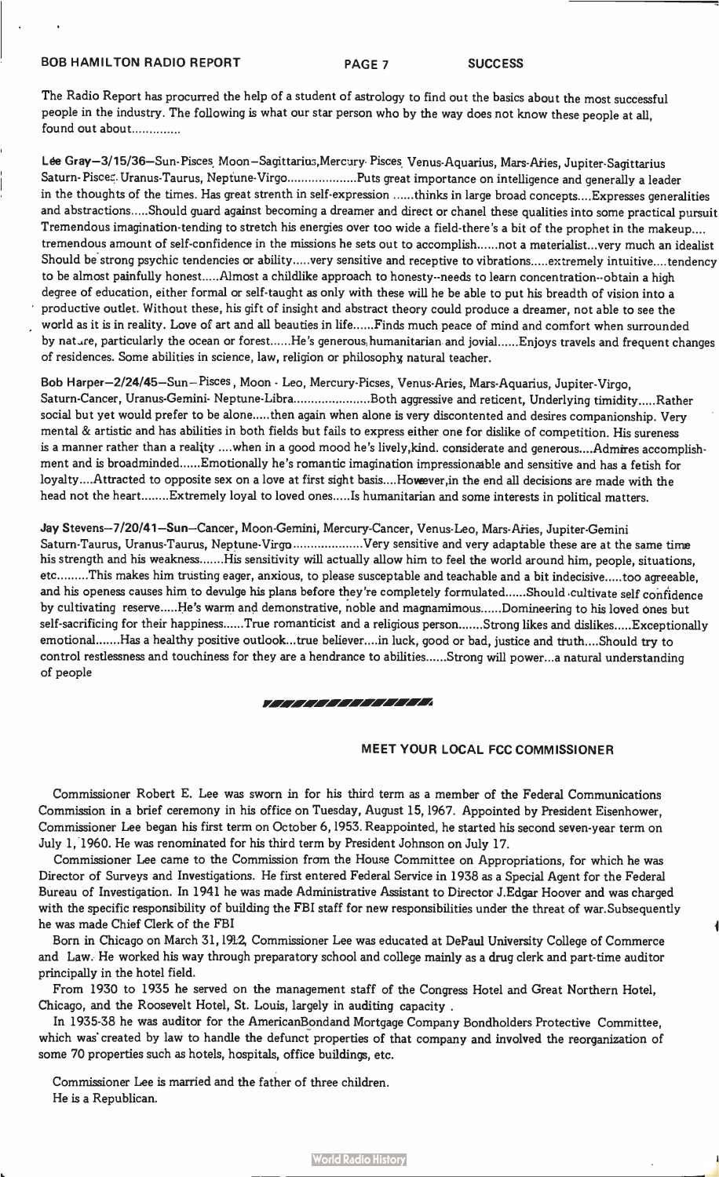# BOB HAMILTON RADIO REPORT PAGE 7 SUCCESS

The Radio Report has procurred the help of a student of astrology to find out the basics about the most successful people in the industry. The following is what our star person who by the way does not know these people at all, found out about

Lée Gray-3/15/36—Sun- Pisces, Moon—Sagittarius,Mercury• Pisces, Venus-Aquarius, Mars-Aries, Jupiter-Sagittarius Saturn-Pisces. Uranus-Taurus, Neptune-Virgo ...................Puts great importance on intelligence and generally a leader in the thoughts of the times. Has great strenth in self-expression ......thinks in large broad concepts.... Expresses generalities and abstractions.....Should guard against becoming a dreamer and direct or chanel these qualities into some practical pursuit Tremendous imagination-tending to stretch his energies over too wide a field-there's a bit of the prophet in the makeup.... tremendous amount of self-confidence in the missions he sets out to accomplish......not a materialist...very much an idealist Should be strong psychic tendencies or ability .....very sensitive and receptive to vibrations ..... extremely intuitive.... tendency to be almost painfully honest.....Almost a childlike approach to honesty--needs to learn concentration--obtain a high degree of education, either formal or self-taught as only with these will he be able to put his breadth of vision into a productive outlet. Without these, his gift of insight and abstract theory could produce a dreamer, not able to see the world as it is in reality. Love of art and all beauties in life......Finds much peace of mind and comfort when surrounded by nature, particularly the ocean or forest......He's generous humanitarian and jovial......Enjoys travels and frequent changes of residences. Some abilities in science, law, religion or philosophy natural teacher.

Bob Harper-2/24/45—Sun— Pisces, Moon - Leo, Mercury-Picses, Venus-Aries, Mars-Aquarius, Jupiter-Virgo, Saturn-Cancer, Uranus-Gemini- Neptune-Libra .....................Both aggressive and reticent, Underlying timidity .....Rather social but yet would prefer to be alone.....then again when alone is very discontented and desires companionship. Very mental & artistic and has abilities in both fields but fails to express either one for dislike of competition. His sureness is a manner rather than a reality ....when in a good mood he's lively,kind. considerate and generous....Admires accomplishment and is broadminded ...... Emotionally he's romantic imagination impressionable and sensitive and has a fetish for loyalty... .Attracted to opposite sex on a love at first sight basis....Hoveever,in the end all decisions are made with the head not the heart........Extremely loyal to loved ones.....Is humanitarian and some interests in political matters.

Jay Stevens-7/20/41—Sun—Cancer, Moon-Gemini, Mercury-Cancer, Venus-Leo, Mars-Aries, Jupiter-Gemini Saturn-Taurus, Uranus-Taurus, Neptune-Virgo ....................Very sensitive and very adaptable these are at the same time his strength and his weakness.......His sensitivity will actually allow him to feel the world around him, people, situations, etc.........This makes him trusting eager, anxious, to please susceptable and teachable and a bit indecisive.....too agreeable, and his openess causes him to devulge his plans before they're completely formulated ...... Should cultivate self confidence by cultivating reserve ..... He's warm and demonstrative, noble and magnamimous ...... Domineering to his loved ones but self-sacrificing for their happiness......True romanticist and a religious person.......Strong likes and dislikes.....Exceptionally emotional ....... Has a healthy positive outlook...true believer....in luck, good or bad, justice and truth....Should try to control restlessness and touchiness for they are a hendrance to abilities......Strong will power...a natural understanding of people

#### 777777777777777

# MEET YOUR LOCAL FCC COMMISSIONER

Commissioner Robert E. Lee was sworn in for his third term as a member of the Federal Communications Commission in a brief ceremony in his office on Tuesday, August 15, 1967. Appointed by President Eisenhower, Commissioner Lee began his first term on October 6,1953. Reappointed, he started his second seven-year term on July 1, 1960. He was renominated for his third term by President Johnson on July 17.

Commissioner Lee came to the Commission from the House Committee on Appropriations, for which he was Director of Surveys and Investigations. He first entered Federal Service in 1938 as a Special Agent for the Federal Bureau of Investigation. In 1941 he was made Administrative Assistant to Director J.Edgar Hoover and was charged with the specific responsibility of building the FBI staff for new responsibilities under the threat of war.Subsequently he was made Chief Clerk of the FBI

Born in Chicago on March 31,1912, Commissioner Lee was educated at DePaul University College of Commerce and Law. He worked his way through preparatory school and college mainly as a drug clerk and part-time auditor principally in the hotel field.

From 1930 to 1935 he served on the management staff of the Congress Hotel and Great Northern Hotel, Chicago, and the Roosevelt Hotel, St. Louis, largely in auditing capacity .

In 1935-38 he was auditor for the AmericanBondand Mortgage Company Bondholders Protective Committee, which was created by law to handle the defunct properties of that company and involved the reorganization of some 70 properties such as hotels, hospitals, office buildings, etc.

Commissioner Lee is married and the father of three children. He is a Republican.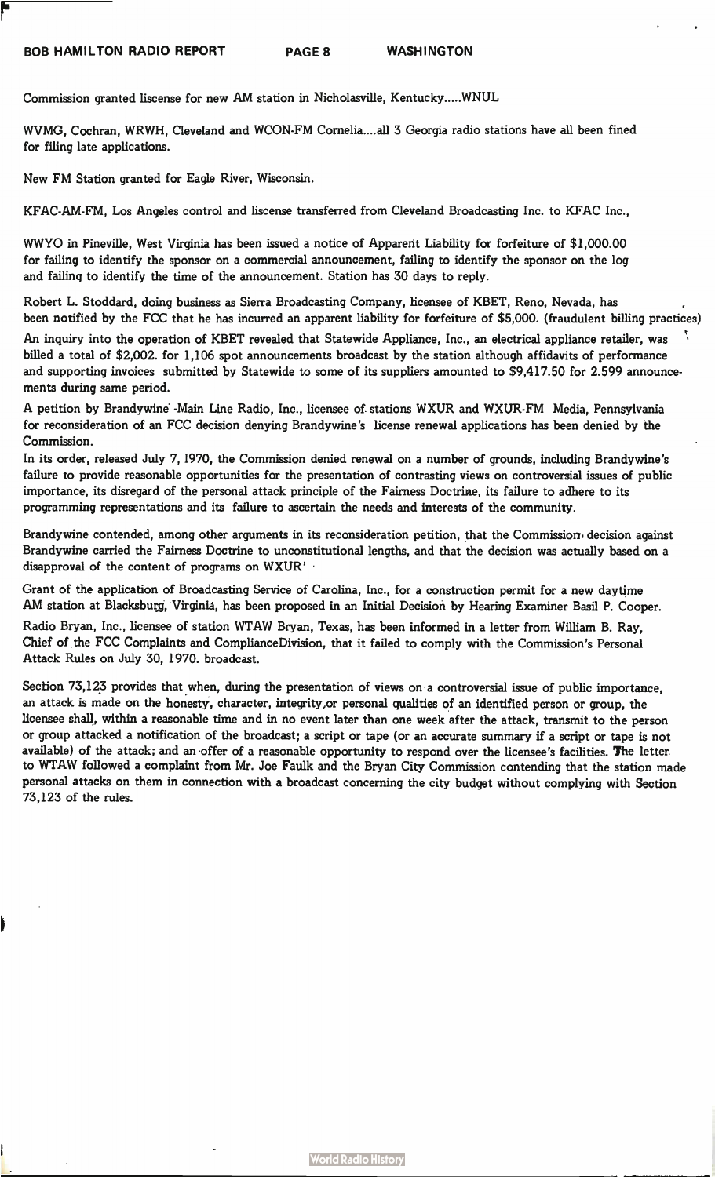Commission granted liscense for new AM station in Nicholasville, Kentucky.....WNUL

WVMG, Cochran, WRWH, Cleveland and WCON-FM Cornelia....all 3 Georgia radio stations have all been fined for filing late applications.

New FM Station granted for Eagle River, Wisconsin.

KFAC-AM-FM, Los Angeles control and liscense transferred from Cleveland Broadcasting Inc. to KFAC Inc.,

WWYO in Pineville, West Virginia has been issued a notice of Apparent Liability for forfeiture of \$1,000.00 for failing to identify the sponsor on a commercial announcement, failing to identify the sponsor on the log and failing to identify the time of the announcement. Station has 30 days to reply.

Robert L. Stoddard, doing business as Sierra Broadcasting Company, licensee of KBET, Reno, Nevada, has been notified by the FCC that he has incurred an apparent liability for forfeiture of \$5,000. (fraudulent billing practices)

An inquiry into the operation of KBET revealed that Statewide Appliance, Inc., an electrical appliance retailer, was billed a total of \$2,002. for 1,106 spot announcements broadcast by the station although affidavits of performance and supporting invoices submitted by Statewide to some of its suppliers amounted to \$9,417.50 for 2.599 announcements during same period.

A petition by Brandywine -Main Line Radio, Inc., licensee of stations WXUR and WXUR-FM Media, Pennsylvania for reconsideration of an FCC decision denying Brandywine's license renewal applications has been denied by the Commission.

In its order, released July 7, 1970, the Commission denied renewal on a number of grounds, including Brandywine's failure to provide reasonable opportunities for the presentation of contrasting views on controversial issues of public importance, its disregard of the personal attack principle of the Fairness Doctrine, its failure to adhere to its programming representations and its failure to ascertain the needs and interests of the community.

Brandywine contended, among other arguments in its reconsideration petition, that the Commission decision against Brandywine carried the Fairness Doctrine to unconstitutional lengths, and that the decision was actually based on a disapproval of the content of programs on WXUR'

Grant of the application of Broadcasting Service of Carolina, Inc., for a construction permit for a new daytime AM station at Blacksburg, Virginia, has been proposed in an Initial Decision by Hearing Examiner Basil P. Cooper.

Radio Bryan, Inc., licensee of station WTAW Bryan, Texas, has been informed in a letter from William B. Ray, Chief of the FCC Complaints and ComplianceDivision, that it failed to comply with the Commission's Personal Attack Rules on July 30, 1970. broadcast.

Section 73,123 provides that when, during the presentation of views on a controversial issue of public importance, an attack is made on the honesty, character, integrity or personal qualities of an identified person or group, the licensee shall, within a reasonable time and in no event later than one week after the attack, transmit to the person or group attacked a notification of the broadcast; a script or tape (or an accurate summary if a script or tape is not available) of the attack; and an offer of a reasonable opportunity to respond over the licensee's facilities. The letter to WTAW followed a complaint from Mr. Joe Faulk and the Bryan City Commission contending that the station made personal attacks on them in connection with a broadcast concerning the city budget without complying with Section 73,123 of the rules.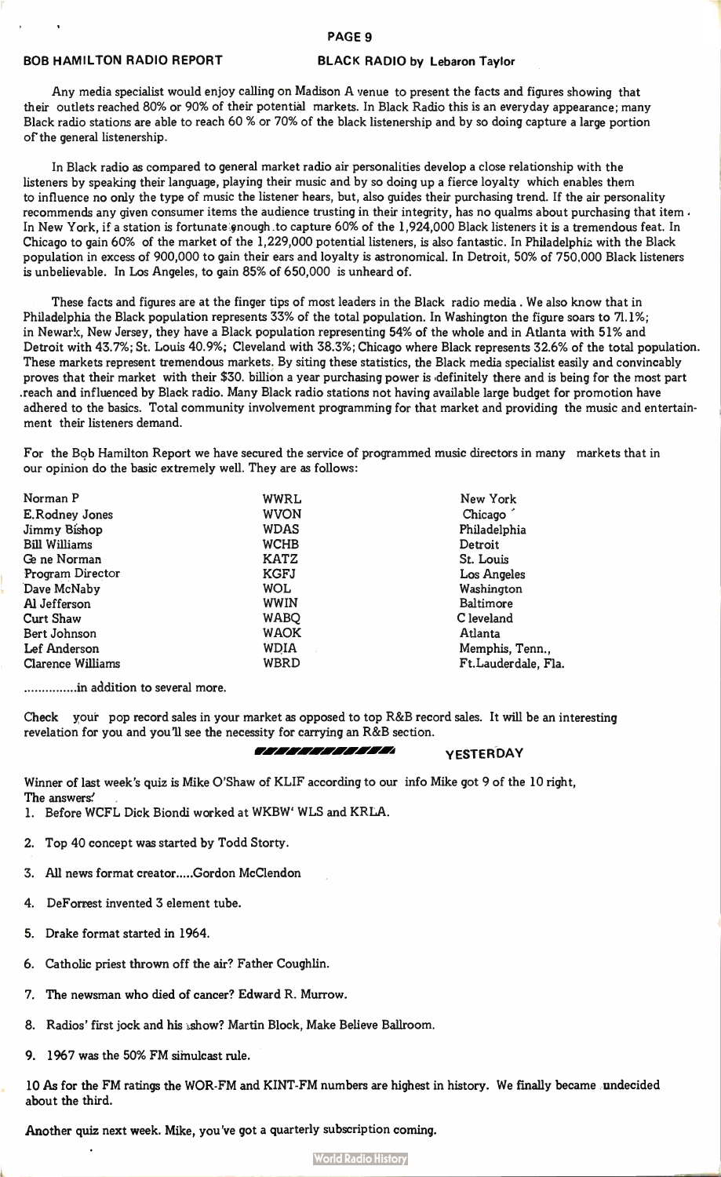#### PAGE 9

# BOB HAMILTON RADIO REPORT BLACK RADIO by Lebaron Taylor

Any media specialist would enjoy calling on Madison A venue to present the facts and figures showing that their outlets reached 80% or 90% of their potential markets. In Black Radio this is an everyday appearance; many Black radio stations are able to reach 60 % or 70% of the black listenership and by so doing capture a large portion of' the general listenership.

In Black radio as compared to general market radio air personalities develop a close relationship with the listeners by speaking their language, playing their music and by so doing up a fierce loyalty which enables them to influence no only the type of music the listener hears, but, also guides their purchasing trend. If the air personality recommends any given consumer items the audience trusting in their integrity, has no qualms about purchasing that item. In New York, if a station is fortunate enough to capture 60% of the 1,924,000 Black listeners it is a tremendous feat. In Chicago to gain 60% of the market of the 1,229,000 potential listeners, is also fantastic. In Philadelphia with the Black population in excess of 900,000 to gain their ears and loyalty is astronomical. In Detroit, 50% of 750,000 Black listeners is unbelievable. In Los Angeles, to gain 85% of 650,000 is unheard of.

These facts and figures are at the finger tips of most leaders in the Black radio media . We also know that in Philadelphia the Black population represents 33% of the total population. In Washington the figure soars to 71.1%; in Newark, New Jersey, they have a Black population representing 54% of the whole and in Atlanta with 51% and Detroit with 43.7%; St. Louis 40.9%; Cleveland with 38.3%; Chicago where Black represents 32.6% of the total population. These markets represent tremendous markets. By siting these statistics, the Black media specialist easily and convincably proves that their market with their \$30. billion a year purchasing power is ,definitely there and is being for the most part .reach and influenced by Black radio. Many Black radio stations not having available large budget for promotion have adhered to the basics. Total community involvement programming for that market and providing the music and entertainment their listeners demand.

For the Bob Hamilton Report we have secured the service of programmed music directors in many markets that in our opinion do the basic extremely well. They are as follows:

| Norman P                 | <b>WWRL</b> | New York            |
|--------------------------|-------------|---------------------|
| E.Rodney Jones           | <b>WVON</b> | Chicago             |
| Jimmy Bishop             | <b>WDAS</b> | Philadelphia        |
| <b>Bill Williams</b>     | <b>WCHB</b> | Detroit             |
| Ge ne Norman             | <b>KATZ</b> | St. Louis           |
| <b>Program Director</b>  | <b>KGFJ</b> | Los Angeles         |
| Dave McNaby              | <b>WOL</b>  | Washington          |
| Al Jefferson             | <b>WWIN</b> | Baltimore           |
| <b>Curt Shaw</b>         | <b>WABO</b> | C leveland          |
| Bert Johnson             | <b>WAOK</b> | Atlanta             |
| Lef Anderson             | <b>WDIA</b> | Memphis, Tenn.,     |
| <b>Clarence Williams</b> | <b>WBRD</b> | Ft.Lauderdale, Fla. |

..............in addition to several more.

Check your pop record sales in your market as opposed to top R&B record sales. It will be an interesting revelation for you and you'll see the necessity for carrying an R&B section.

# *TELECTRICITY* YESTERDAY

Winner of last week's quiz is Mike O'Shaw of KLIF according to our info Mike got 9 of the 10 right, The answers:'

- 1. Before WCFL Dick Biondi worked at WKBW' WLS and KRLA.
- 2. Top 40 concept was started by Todd Storty.
- 3. All news format creator.....Gordon McClendon
- 4. DeForrest invented 3 element tube.
- 5. Drake format started in 1964.
- 6. Catholic priest thrown off the air? Father Coughlin.
- 7. The newsman who died of cancer? Edward R. Murrow.
- 8. Radios' first jock and his show? Martin Block, Make Believe Ballroom.
- 9. 1967 was the 50% FM simulcast rule.

10 As for the FM ratings the WOR-FM and KINT-FM numbers are highest in history. We finally became undecided about the third.

Another quiz next week. Mike, you've got a quarterly subscription coming.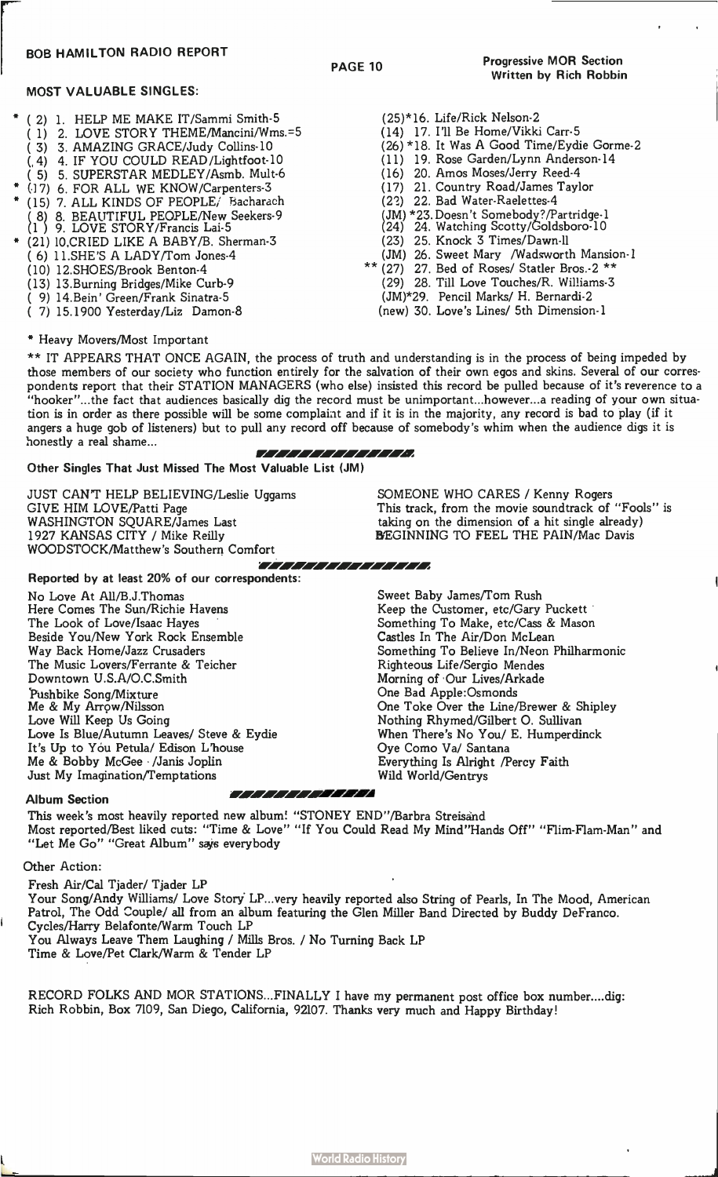# BOB HAMILTON RADIO REPORT

# MOST VALUABLE SINGLES:

- ( 2) 1. HELP ME MAKE IT/Sammi Smith-5
- ( 1) 2. LOVE STORY THEME/Mancini/Wms.=5
- ( 3) 3. AMAZING GRACE/Judy Collins-10
- (,4) 4. IF YOU COULD READ/Lightfoot-10
- ( 5) 5. SUPERSTAR MEDLEY/Asmb. MuIt-6
- (17) 6. FOR ALL WE KNOW/Carpenters-3
- (15) 7. ALL KINDS OF PEOPLE, Bacharach ( 8) 8. BEAUTIFUL PEOPLE/New Seekers-9 (1 ) 9. LOVE STORY/Francis Lai-5
- \* (21) 10,CRIED LIKE A BABY/B. Sherman-3 ( 6) 11.SHE'S A LADY/Tom Jones-4
	- (10) 12.SHOES/Brook Benton-4
	-
	- (13) 13.Burning Bridges/Mike Curb-9 ( 9) 14.Bein' Green/Frank Sinatra-5
	-
	- ( 7) 15.1900 Yesterday/Liz Damon-8
- (25)\*16. Life/Rick Nelson-2
- (14) 17. I'll Be Home/Vikki Carr-5
- (26) \*18. It Was A Good Time/Eydie Gorme-2
- (11) 19. Rose Garden/Lynn Anderson-14
- (16) 20. Amos Moses/Jerry Reed-4
- (17) 21. Country Road/James Taylor
- (22) 22. Bad Water-Raelettes-4
- (JM) \*23. Doesn't Somebody?/Partridge-1
- (24) 24. Watching Scotty/Goldsboro-10
- (23) 25. Knock 3 Times/Dawn-11
- (JM) 26. Sweet Mary /Wadsworth Mansion-1
- \* (27) 27. E Bed of Roses/ Statler Bros.-2 \*\*\*
	- (29) 28. Till Love Touches/R. Williams-3
	- (JM)\*29. Pencil Marks/ H. Bernardi-2
	- (new) 30. Love's Lines/ 5th Dimension-1

\* Heavy Movers/Most Important

\*\* IT APPEARS THAT ONCE AGAIN, the process of truth and understanding is in the process of being impeded by those members of our society who function entirely for the salvation of their own egos and skins. Several of our correspondents report that their STATION MANAGERS (who else) insisted this record be pulled because of it's reverence to a "hooker"...the fact that audiences basically dig the record must be unimportant...however...a reading of your own situation is in order as there possible will be some complaint and if it is in the majority, any record is bad to play (if it angers a huge gob of listeners) but to pull any record off because of somebody's whim when the audience digs it is honestly a real shame... 7777777777777

Other Singles That Just Missed The Most Valuable List (JM)

JUST CANT HELP BELIEVING/Leslie Uggams GIVE HIM LOVE/Patti Page WASHINGTON SQUARE/James Last 1927 KANSAS CITY / Mike Reilly WOODSTOCK/Matthew's Southern Comfort

Reported by at least 20% of our correspondents: No Love At All/B.J.Thomas Here Comes The Sun/Richie Havens

The Look of Love/Isaac Hayes Beside You/New York Rock Ensemble Way Back Home/Jazz Crusaders The Music Lovers/Ferrante & Teicher Downtown U.S.A/O.C.Smith Pushbike Song/Mixture Me & My Arr9w/Nilsson Love Will Keep Us Going Love Is Blue/Autumn Leaves/ Steve & Eydie It's Up to You Petula/ Edison L'house Me & Bobby McGee /Janis Joplin Just My Imagination/Temptations

SOMEONE WHO CARES / Kenny Rogers This track, from the movie soundtrack of "Fools" is taking on the dimension of a hit single already) BEGINNING TO FEEL THE PAIN/Mac Davis

Sweet Baby James/Tom Rush Keep the Customer, etc/Gary Puckett Something To Make, etc/Cass & Mason Castles In The Air/Don McLean Something To Believe In/Neon Philharmonic Righteous Life/Sergio Mendes Morning of Our Lives/Arkade One Bad Apple:Osmonds One Toke Over the Line/Brewer & Shipley Nothing Rhymed/Gilbert O. Sullivan When There's No You/ E. Humperdinck Oye Como Va/ Santana Everything Is Alright /Percy Faith Wild World/Gentrys

# Album Section and the action of the album Section

This week's most heavily reported new album! "STONEY END"/Barbra Streisand Most reported/Best liked cuts: "Time & Love" "If You Could Read My Mind"Hands Off" "Flim-Flam-Man" and "Let Me Go" "Great Album" says everybody

ET TETET TETETTETTE

# Other Action:

Fresh Air/Cal Tjader/ Tjader LP Your Song/Andy Williams/ Love Story LP...very heavily reported also String of Pearls, In The Mood, American Patrol, The Odd Couple/ all from an album featuring the Glen Miller Band Directed by Buddy DeFranco. Cycles/Harry Belafonte/Warm Touch LP You Always Leave Them Laughing / Mills Bros. / No Turning Back LP Time & Love/Pet Clark/Warm & Tender LP

RECORD FOLKS AND MOR STATIONS...FINALLY I have my permanent post office box number....dig: Rich Robbin, Box 7109, San Diego, California, 92107. Thanks very much and Happy Birthday!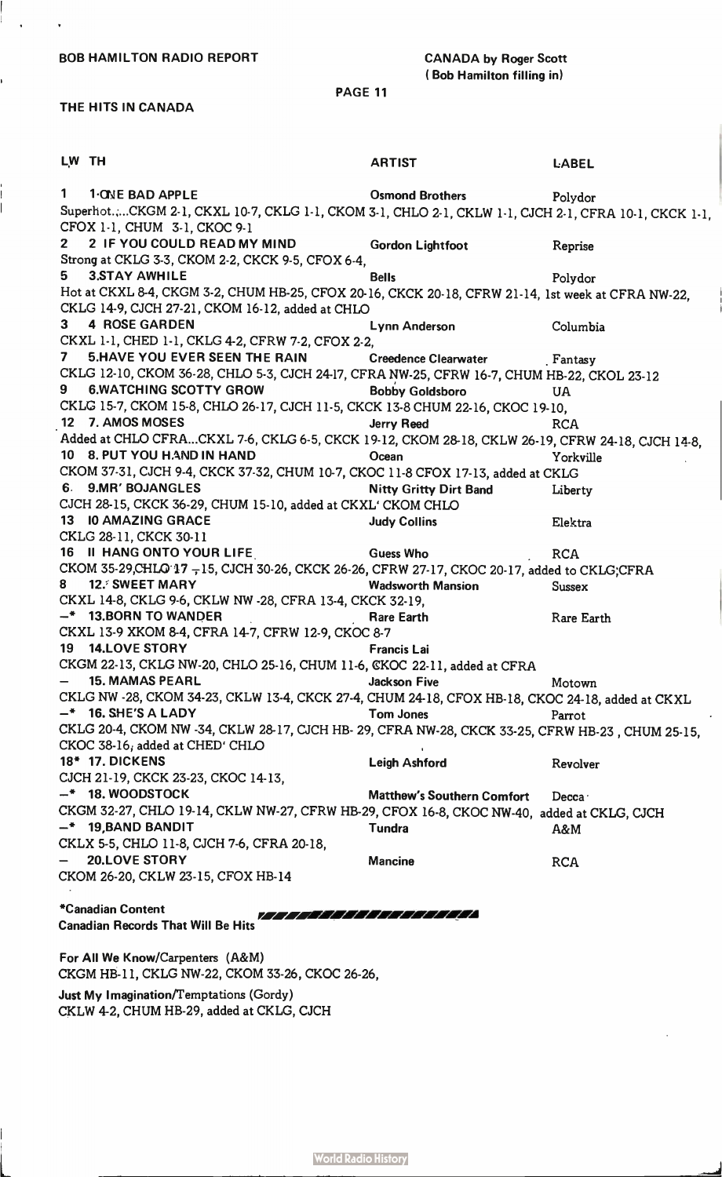BOB HAMILTON RADIO REPORT CANADA by Roger Scott

# ( Bob Hamilton filling in)

PAGE 11

# THE HITS IN CANADA

 $\ddot{\phantom{0}}$ 

1

 $\frac{1}{2}$ 

| LW TH                    |                                                                                                                 | <b>ARTIST</b>                     | <b>LABEL</b>  |  |  |  |
|--------------------------|-----------------------------------------------------------------------------------------------------------------|-----------------------------------|---------------|--|--|--|
| $\mathbf{1}$             | <b>1-ONE BAD APPLE</b>                                                                                          | Osmond Brothers Folydor           |               |  |  |  |
|                          | Superhot.,CKGM 2-1, CKXL 10-7, CKLG 1-1, CKOM 3-1, CHLO 2-1, CKLW 1-1, CJCH 2-1, CFRA 10-1, CKCK 1-1,           |                                   |               |  |  |  |
|                          | CFOX 1-1, CHUM 3-1, CKOC 9-1                                                                                    |                                   |               |  |  |  |
| $2 -$                    | 2 IF YOU COULD READ MY MIND                                                                                     | <b>Gordon Lightfoot</b>           | Reprise       |  |  |  |
|                          | Strong at CKLG 3-3, CKOM 2-2, CKCK 9-5, CFOX 6-4,                                                               |                                   |               |  |  |  |
| 5.                       | <b>3.STAY AWHILE</b>                                                                                            | <b>Bells</b>                      | Polydor       |  |  |  |
|                          | Hot at CKXL 8-4, CKGM 3-2, CHUM HB-25, CFOX 20-16, CKCK 20-18, CFRW 21-14, 1st week at CFRA NW-22,              |                                   |               |  |  |  |
|                          | CKLG 14-9, CJCH 27-21, CKOM 16-12, added at CHLO                                                                |                                   |               |  |  |  |
| 3                        | <b>4 ROSE GARDEN</b>                                                                                            | <b>Lynn Anderson</b>              | Columbia      |  |  |  |
|                          | CKXL 1-1, CHED 1-1, CKLG 4-2, CFRW 7-2, CFOX 2-2,                                                               |                                   |               |  |  |  |
|                          | 7 5.HAVE YOU EVER SEEN THE RAIN Creedence Clearwater Fantasy                                                    |                                   |               |  |  |  |
|                          | CKLG 12-10, CKOM 36-28, CHLO 5-3, CJCH 24-17, CFRA NW-25, CFRW 16-7, CHUM HB-22, CKOL 23-12                     |                                   |               |  |  |  |
| 9                        | <b>6.WATCHING SCOTTY GROW</b>                                                                                   | <b>Bobby Goldsboro</b>            | <b>UA</b>     |  |  |  |
|                          | CKLG 15-7, CKOM 15-8, CHLO 26-17, CJCH 11-5, CKCK 13-8 CHUM 22-16, CKOC 19-10,                                  |                                   |               |  |  |  |
|                          | 12 7. AMOS MOSES                                                                                                | <b>Jerry Reed</b>                 | <b>RCA</b>    |  |  |  |
|                          | Added at CHLO CFRACKXL 7-6, CKLG 6-5, CKCK 19-12, CKOM 28-18, CKLW 26-19, CFRW 24-18, CJCH 14-8,                |                                   |               |  |  |  |
|                          | 10 8. PUT YOU HAND IN HAND                                                                                      | Ocean                             | Yorkville     |  |  |  |
|                          | CKOM 37-31, CJCH 9-4, CKCK 37-32, CHUM 10-7, CKOC 11-8 CFOX 17-13, added at CKLG                                |                                   |               |  |  |  |
|                          | 6. 9.MR' BOJANGLES                                                                                              | <b>Nitty Gritty Dirt Band</b>     | Liberty       |  |  |  |
|                          | CJCH 28-15, CKCK 36-29, CHUM 15-10, added at CKXL' CKOM CHLO                                                    |                                   |               |  |  |  |
|                          | <b>13 IO AMAZING GRACE</b>                                                                                      | <b>Judy Collins</b>               | Elektra       |  |  |  |
|                          | CKLG 28-11, CKCK 30-11<br>16 II HANG ONTO YOUR LIFE Guess Who                                                   |                                   |               |  |  |  |
|                          |                                                                                                                 |                                   | <b>RCA</b>    |  |  |  |
| 8                        | CKOM 35-29, CHLO 17 - 15, CJCH 30-26, CKCK 26-26, CFRW 27-17, CKOC 20-17, added to CKLG; CFRA<br>12. SWEET MARY |                                   |               |  |  |  |
|                          | CKXL 14-8, CKLG 9-6, CKLW NW -28, CFRA 13-4, CKCK 32-19,                                                        | <b>Wadsworth Mansion</b>          | <b>Sussex</b> |  |  |  |
|                          | $-$ * 13.BORN TO WANDER                                                                                         | <b>Rare Earth</b>                 | Rare Earth    |  |  |  |
|                          | CKXL 13-9 XKOM 8-4, CFRA 14-7, CFRW 12-9, CKOC 8-7                                                              |                                   |               |  |  |  |
|                          | 19 14.LOVE STORY                                                                                                | <b>Francis Lai</b>                |               |  |  |  |
|                          | CKGM 22-13, CKLG NW-20, CHLO 25-16, CHUM 11-6, CKOC 22-11, added at CFRA                                        |                                   |               |  |  |  |
| $\overline{\phantom{0}}$ | <b>15. MAMAS PEARL</b>                                                                                          | <b>Jackson Five</b>               | Motown        |  |  |  |
|                          | CKLG NW -28, CKOM 34-23, CKLW 13-4, CKCK 27-4, CHUM 24-18, CFOX HB-18, CKOC 24-18, added at CKXL                |                                   |               |  |  |  |
|                          | $-$ * 16. SHE'S A LADY                                                                                          | <b>Tom Jones</b>                  | Parrot        |  |  |  |
|                          | CKLG 20-4, CKOM NW -34, CKLW 28-17, CJCH HB- 29, CFRA NW-28, CKCK 33-25, CFRW HB-23, CHUM 25-15,                |                                   |               |  |  |  |
|                          | CKOC 38-16, added at CHED' CHLO                                                                                 |                                   |               |  |  |  |
|                          | <b>18* 17. DICKENS</b>                                                                                          | <b>Leigh Ashford</b>              | Revolver      |  |  |  |
|                          | CJCH 21-19, CKCK 23-23, CKOC 14-13,                                                                             |                                   |               |  |  |  |
|                          | $-$ * 18. WOODSTOCK                                                                                             | <b>Matthew's Southern Comfort</b> | Decca ·       |  |  |  |
|                          | CKGM 32-27, CHLO 19-14, CKLW NW-27, CFRW HB-29, CFOX 16-8, CKOC NW-40, added at CKLG, CJCH                      |                                   |               |  |  |  |
|                          | $-$ * 19, BAND BANDIT                                                                                           | <b>Tundra</b>                     | A&M           |  |  |  |
|                          | CKLX 5-5, CHLO 11-8, CJCH 7-6, CFRA 20-18,                                                                      |                                   |               |  |  |  |
|                          | <b>20.LOVE STORY</b>                                                                                            | <b>Mancine</b>                    | <b>RCA</b>    |  |  |  |
|                          | CKOM 26-20, CKLW 23-15, CFOX HB-14                                                                              |                                   |               |  |  |  |
|                          |                                                                                                                 |                                   |               |  |  |  |
|                          | *Canadian Content                                                                                               |                                   |               |  |  |  |
|                          | ,,,,,,,,,,,,,,,,,,,,,<br><b>Canadian Records That Will Be Hits</b>                                              |                                   |               |  |  |  |
|                          |                                                                                                                 |                                   |               |  |  |  |

For All We Know/Carpenters (A&M) CKGM HB-11, CKLG NW-22, CKOM 33-26, CKOC 26-26,

Just My Imagination/Temptations (Gordy) CKLW 4-2, CHUM HB-29, added at CKLG, CJCH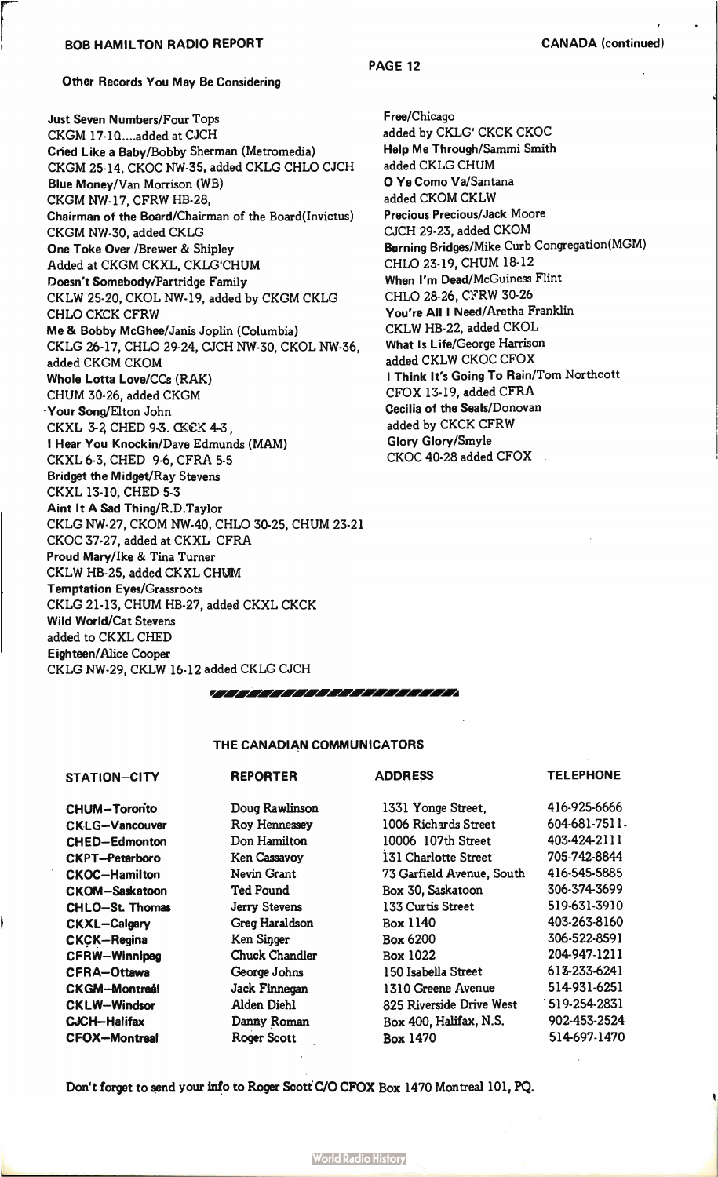# BOB HAMILTON RADIO REPORT **CANADA** (continued)

PAGE 12

Other Records You May Be Considering

Just Seven Numbers/Four Tops CKGM 17-1Q....added at CJCH Cried Like a Baby/Bobby Sherman (Metromedia) CKGM 25-14, CKOC NW-35, added CKLG CHLO CJCH Blue Money/Van Morrison (WB) CKGM NW-17, CFRW HB-28, Chairman of the Board/Chairman of the Board(Invictus) CKGM NW-30, added CKLG One Toke Over /Brewer & Shipley Added at CKGM CKXL, CKLG`CHUM Doesn't Somebody/Partridge Family CKLW 25-20, CKOL NW-19, added by CKGM CKLG CHLO CKCK CFRW Me & Bobby McGhee/Janis Joplin (Columbia) CKLG 26-17, CHLO 29-24, CJCH NW-30, CKOL NW-36, added CKGM CKOM Whole Lotta Love/CCs (RAK) CHUM 30-26, added CKGM Your Song/Elton John CKXL 3-2, CHED 9-3. CKCK 4-3, I Hear You Knockin/Dave Edmunds (MAM) CKXL 6-3, CHED 9-6, CFRA 5-5 Bridget the Midget/Ray Stevens CKXL 13-10, CHED 5-3 Aint It A Sad Thing/R.D.Taylor CKLG NW-27, CKOM NW-40, CHLO 30-25, CHUM 23-21 CKOC 37-27, added at CKXL CFRA Proud Mary/Ike & Tina Turner CKLW HB-25, added CKXL CHUM Temptation Eyes/Grassroots CKLG 21-13, CHUM HB-27, added CKXL CKCK Wild World/Cat Stevens added to CKXL CHED Eighteen/Alice Cooper CKLG NW-29, CKLW 16-12 added CKLG CJCH

Free/Chicago added by CKLG' CKCK CKOC Help Me Through/Sammi Smith added CKLG CHUM 0 Ye Como Va/Santana added CKOM CKLW Precious Precious/Jack Moore CJCH 29-23, added CKOM Burning Bridges/Mike Curb Congregation(MGM) CHLO 23-19, CHUM 18-12 When I'm Dead/McGuiness Flint CHLO 28-26, C'FRW 30-26 You're All I Need/Aretha Franklin CKLW HB-22, added CKOL What Is Life/George Harrison added CKLW CKOC CFOX I Think It's Going To Rain/Tom Northcott CFOX 13-19, added CFRA Cecilia of the Seals/Donovan added by CKCK CFRW Glory Glory/Smyle CKOC 40-28 added CFOX

THE CANADIAN COMMUNICATORS

rm.0 r. ~rMA • r4 ri ow/A r. PwA'

CHUM-Tororito CKLG-Vancouver CHED-Edmonton CKPT-Peterbero CKOC-Hamilton CKOM-Saskatoon CHLO-St. Thomas CKXL-Calgary CKÇK-Regina CFRW-Winnipeg CFRA-Ottawa CKGM-Montreal CKLW-Windsor CJCH-Halifax CFOX-Montreal

# STATION-CITY REPORTER

Doug Rawlinson Roy Hennessey Don Hamilton Ken Cassavoy Nevin Grant Ted Pound Jerry Stevens Greg Haraldson Ken Singer Chuck Chandler George Johns Jack Finnegan Alden Diehl Danny Roman Roger Scott

# ADDRESS

# **TELEPHONE**

| 1331 Yonge Street,          | 416-925-6666        |
|-----------------------------|---------------------|
| 1006 Richards Street        | 604-681-7511.       |
| 10006 107th Street          | 403-424-2111        |
| <b>I31 Charlotte Street</b> | 705-742-8844        |
| 73 Garfield Avenue, South   | 416-545-5885        |
| Box 30, Saskatoon           | 306-374-3699        |
| 133 Curtis Street           | 519-631-3910        |
| <b>Box 1140</b>             | 403-263-8160        |
| <b>Box 6200</b>             | 306-522-8591        |
| Box 1022                    | 204-947-1211        |
| 150 Isabella Street         | 613-233-6241        |
| 1310 Greene Avenue          | 514-931-6251        |
| 825 Riverside Drive West    | $1519 - 254 - 2831$ |
| Box 400, Halifax, N.S.      | 902-453-2524        |
| <b>Box 1470</b>             | 514-697-1470        |

Don't forget to send your info to Roger Scott C/O CFOX Box 1470 Montreal 101, PQ.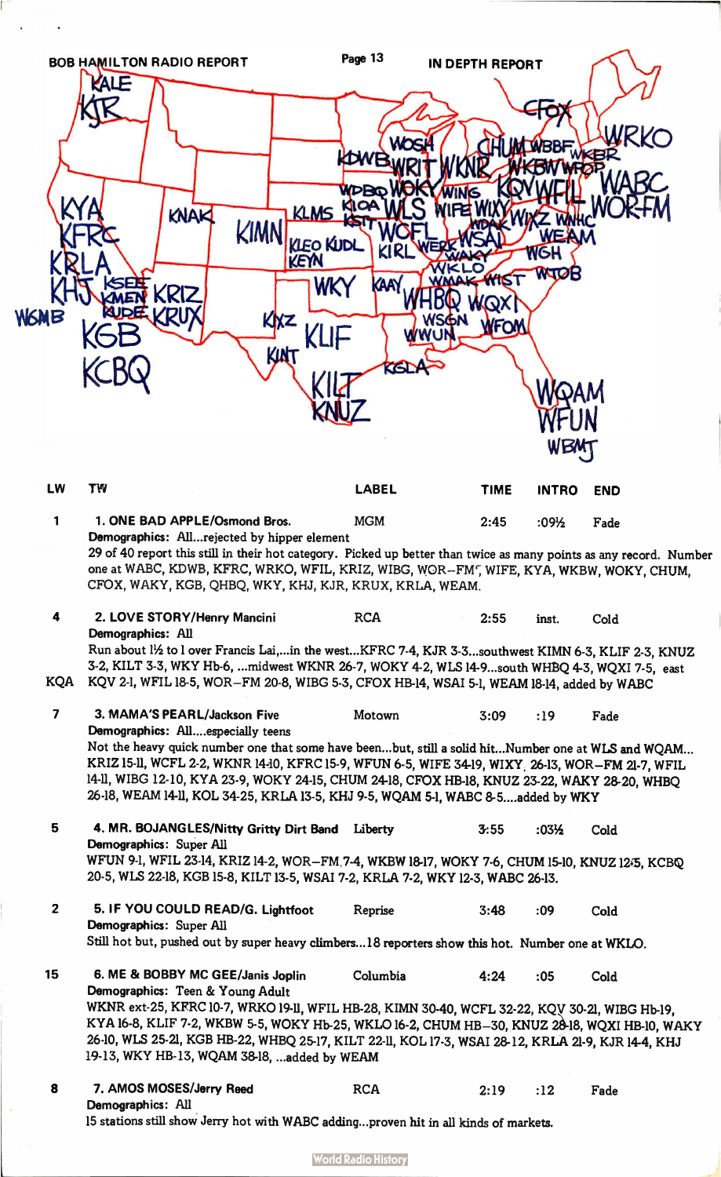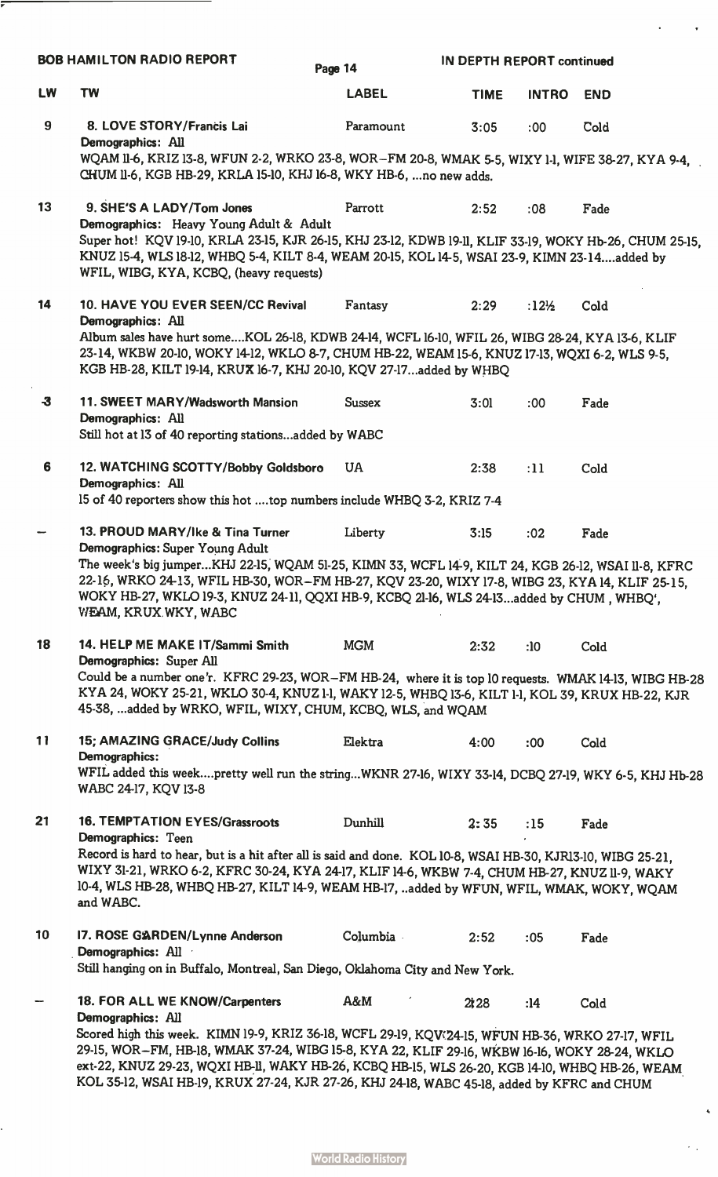|                      | <b>BOB HAMILTON RADIO REPORT</b>                                                                                                                                                                                                                                                                                                                                                                                                                           | Page 14       | <b>IN DEPTH REPORT continued</b> |              |            |
|----------------------|------------------------------------------------------------------------------------------------------------------------------------------------------------------------------------------------------------------------------------------------------------------------------------------------------------------------------------------------------------------------------------------------------------------------------------------------------------|---------------|----------------------------------|--------------|------------|
| <b>LW</b>            | <b>TW</b>                                                                                                                                                                                                                                                                                                                                                                                                                                                  | <b>LABEL</b>  | <b>TIME</b>                      | <b>INTRO</b> | <b>END</b> |
| $\boldsymbol{9}$     | 8. LOVE STORY/Francis Lai<br>Demographics: All<br>WQAM II-6, KRIZ I3-8, WFUN 2-2, WRKO 23-8, WOR-FM 20-8, WMAK 5-5, WIXY 1-1, WIFE 38-27, KYA 9-4,<br>CHUM II-6, KGB HB-29, KRLA 15-10, KHJ 16-8, WKY HB-6,  no new adds.                                                                                                                                                                                                                                  | Paramount     | 3:05                             | :00          | Cold       |
| 13                   | 9. SHE'S A LADY/Tom Jones<br>Demographics: Heavy Young Adult & Adult<br>Super hot! KQV 19-10, KRLA 23-15, KJR 26-15, KHJ 23-12, KDWB 19-11, KLIF 33-19, WOKY Hb-26, CHUM 25-15,<br>KNUZ 15-4, WLS 18-12, WHBQ 5-4, KILT 8-4, WEAM 20-15, KOL 14-5, WSAI 23-9, KIMN 23-14added by<br>WFIL, WIBG, KYA, KCBQ, (heavy requests)                                                                                                                                | Parrott       | 2:52                             | :08          | Fade       |
| 14                   | 10. HAVE YOU EVER SEEN/CC Revival<br>Demographics: All<br>Album sales have hurt someKOL 26-18, KDWB 24-14, WCFL 16-10, WFIL 26, WIBG 28-24, KYA 13-6, KLIF<br>23-14, WKBW 20-10, WOKY 14-12, WKLO 8-7, CHUM HB-22, WEAM 15-6, KNUZ 17-13, WQXI 6-2, WLS 9-5,<br>KGB HB-28, KILT 19-14, KRUX 16-7, KHJ 20-10, KQV 27-17added by WHBQ                                                                                                                        | Fantasy       | 2:29                             | :12½         | Cold       |
| $\boldsymbol{\cdot}$ | 11. SWEET MARY/Wadsworth Mansion<br>Demographics: All<br>Still hot at 13 of 40 reporting stationsadded by WABC                                                                                                                                                                                                                                                                                                                                             | <b>Sussex</b> | 3:01                             | :00          | Fade       |
| 6                    | 12. WATCHING SCOTTY/Bobby Goldsboro<br>Demographics: All<br>15 of 40 reporters show this hot top numbers include WHBQ 3-2, KRIZ 7-4                                                                                                                                                                                                                                                                                                                        | <b>UA</b>     | 2:38                             | :11          | Cold       |
|                      | 13. PROUD MARY/Ike & Tina Turner<br>Demographics: Super Young Adult<br>The week's big jumperKHJ 22-15, WQAM 51-25, KIMN 33, WCFL 14-9, KILT 24, KGB 26-12, WSAI 11-8, KFRC<br>22-16, WRKO 24-13, WFIL HB-30, WOR-FM HB-27, KQV 23-20, WIXY 17-8, WIBG 23, KYA 14, KLIF 25-15,<br>WOKY HB-27, WKLO 19-3, KNUZ 24-11, QQXI HB-9, KCBQ 21-16, WLS 24-13added by CHUM, WHBQ',<br>WEAM, KRUX WKY, WABC                                                          | Liberty       | 3:15                             | :02          | Fade       |
| 18                   | 14. HELP ME MAKE IT/Sammi Smith<br>Demographics: Super All<br>Could be a number one'r. KFRC 29-23, WOR-FM HB-24, where it is top 10 requests. WMAK 14-13, WIBG HB-28<br>KYA 24, WOKY 25-21, WKLO 30-4, KNUZ 1-1, WAKY 12-5, WHBQ 13-6, KILT 1-1, KOL 39, KRUX HB-22, KJR<br>45-38, added by WRKO, WFIL, WIXY, CHUM, KCBQ, WLS, and WQAM                                                                                                                    | <b>MGM</b>    | 2:32                             | :10          | Cold       |
| 11                   | 15; AMAZING GRACE/Judy Collins<br>Demographics:<br>WFIL added this weekpretty well run the stringWKNR 27-16, WIXY 33-14, DCBQ 27-19, WKY 6-5, KHJ Hb-28<br>WABC 24-17, KQV 13-8                                                                                                                                                                                                                                                                            | Elektra       | 4:00                             | :00:         | Cold       |
| 21                   | <b>16. TEMPTATION EYES/Grassroots</b><br>Demographics: Teen<br>Record is hard to hear, but is a hit after all is said and done. KOL 10-8, WSAI HB-30, KJR13-10, WIBG 25-21,<br>WIXY 31-21, WRKO 6-2, KFRC 30-24, KYA 24-17, KLIF 14-6, WKBW 7-4, CHUM HB-27, KNUZ 11-9, WAKY<br>10-4, WLS HB-28, WHBQ HB-27, KILT 14-9, WEAM HB-17, added by WFUN, WFIL, WMAK, WOKY, WQAM<br>and WABC.                                                                     | Dunhill       | 2:35                             | :15          | Fade       |
| 10                   | 17. ROSE GARDEN/Lynne Anderson<br>Demographics: All<br>Still hanging on in Buffalo, Montreal, San Diego, Oklahoma City and New York.                                                                                                                                                                                                                                                                                                                       | Columbia      | 2:52                             | :05          | Fade       |
|                      | 18. FOR ALL WE KNOW/Carpenters<br>Demographics: All<br>Scored high this week. KIMN 19-9, KRIZ 36-18, WCFL 29-19, KQV 24-15, WFUN HB-36, WRKO 27-17, WFIL<br>29-15, WOR-FM, HB-18, WMAK 37-24, WIBG 15-8, KYA 22, KLIF 29-16, WKBW 16-16, WOKY 28-24, WKLO<br>ext-22, KNUZ 29-23, WQXI HB-II, WAKY HB-26, KCBQ HB-15, WLS 26-20, KGB 14-10, WHBQ HB-26, WEAM<br>KOL 35-12, WSAI HB-19, KRUX 27-24, KJR 27-26, KHJ 24-18, WABC 45-18, added by KFRC and CHUM | A&M           | 2128                             | :14          | Cold       |

 $\ddot{\phantom{0}}$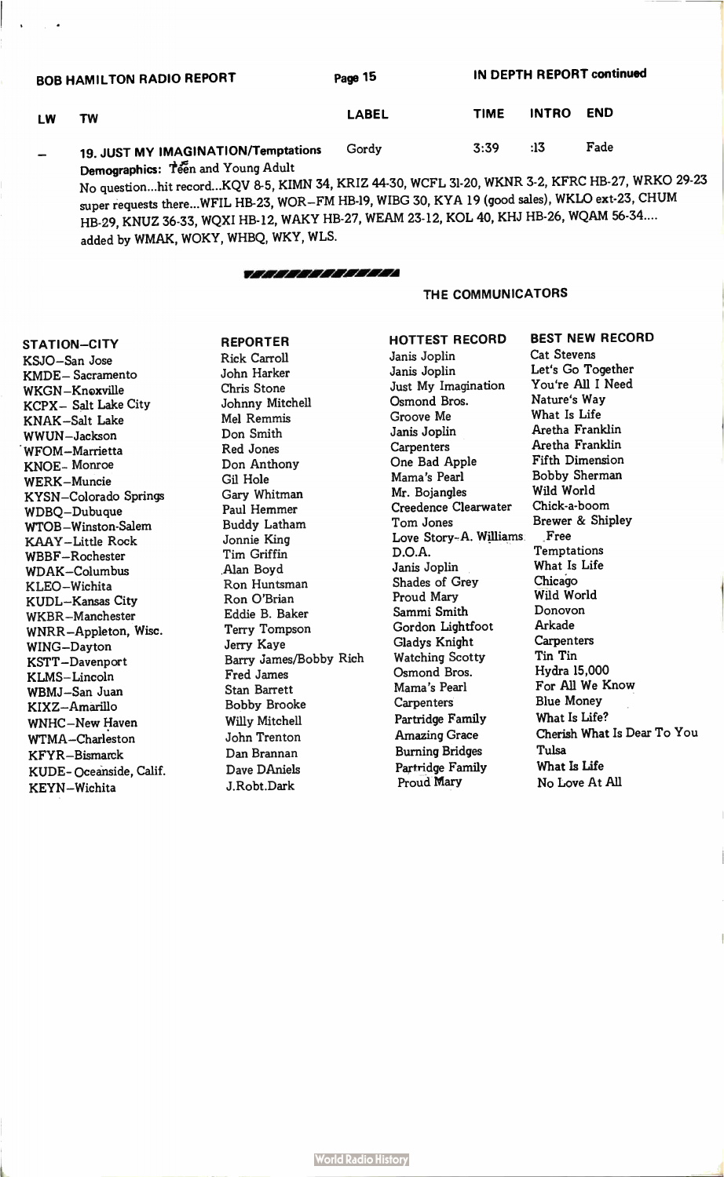| <b>BOB HAMILTON RADIO REPORT</b> |                                     | Page 15      | IN DEPTH REPORT continued |              |            |  |
|----------------------------------|-------------------------------------|--------------|---------------------------|--------------|------------|--|
| LW                               | TW                                  | <b>LABEL</b> | <b>TIME</b>               | <b>INTRO</b> | <b>END</b> |  |
|                                  | 19. JUST MY IMAGINATION/Temptations | Gordy        | 3:39                      | :13          | Fade       |  |
|                                  | Demographics: Teen and Young Adult  |              |                           |              |            |  |

No question...hit record...KQV 8-5, KIMN 34, KRIZ 44-30, WCFL 31-20, WKNR 3-2, KFRC HB-27, WRKO 29-23 super requests there...WFIL HB-23, WOR-FM HB-19, WIBG 30, KYA 19 (good sales), WKLO ext-23, CHUM HB-29, KNUZ 36-33, WQXI HB-12, WAKY HB-27, WEAM 23-12, KOL 40, KHJ HB-26, WQAM 56-34.... added by WMAK, WOKY, WHBQ, WKY, WLS.

# i r/A Ir/A :MI IA

### THE COMMUNICATORS

STATION-CITY KSJO-San Jose KMDE- Sacramento WKGN-Knoxville KCPX- Salt Lake City KNAK-Salt Lake WWUN-Jackson WFOM-Marrietta KNOE- Monroe WERK-Muncie KYSN-Colorado Springs WDBQ-Dubuque WTOB-Winston-Salem KAAY-Little Rock WBBF-Rochester WDAK-Columbus KLEO-Wichita KUDL-Kansas City WKBR-Manchester WNRR-Appleton, Wisc. WING-Dayton KSTT-Davenport KLMS- Lincoln WBMJ-San Juan KIXZ-Amarillo WNHC-New Haven WTMA-Charleston KFYR-Bismarck KUDE- Oceanside, Calif. KEYN-Wichita

REPORTER Rick Carroll John Harker Chris Stone Johnny Mitchell Mel Remmis Don Smith Red Jones Don Anthony Gil Hole Gary Whitman Paul Hemmer Buddy Latham Jonnie King Tim Griffin Alan Boyd Ron Huntsman Ron O'Brian Eddie B. Baker Terry Tompson Jerry Kaye Barry james/Bobby Rich Fred James Stan Barrett Bobby Brooke Willy Mitchell John Trenton Dan Brannan Dave DAniels J.Robt.Dark

HOTTEST RECORD Janis Joplin Janis Joplin Just My Imagination Osmond Bros. Groove Me Janis Joplin **Carpenters** One Bad Apple Mama's Pearl Mr. Bojangles Creedence Clearwater Tom Jones Love Story-A. Williams D.O.A. Janis Joplin Shades of Grey Proud Mary Sammi Smith Gordon Lightfoot Gladys Knight Watching Scotty Osmond Bros. Mama's Pearl **Carpenters** Partridge Family Amazing Grace Burning Bridges Partridge Family Proud Mary

Cat Stevens Let's Go Together You're All I Need Nature's Way What Is Life Aretha Franklin Aretha Franklin Fifth Dimension Bobby Sherman Wild World Chick-a-boom Brewer & Shipley Free **Temptations** What Is Life Chicago Wild World Donovon Arkade **Carpenters** Tin Tin Hydra 15,000 For All We Know Blue Money What Is Life? Cherish What Is Dear To You Tulsa What Is Life No Love At All

BEST NEW RECORD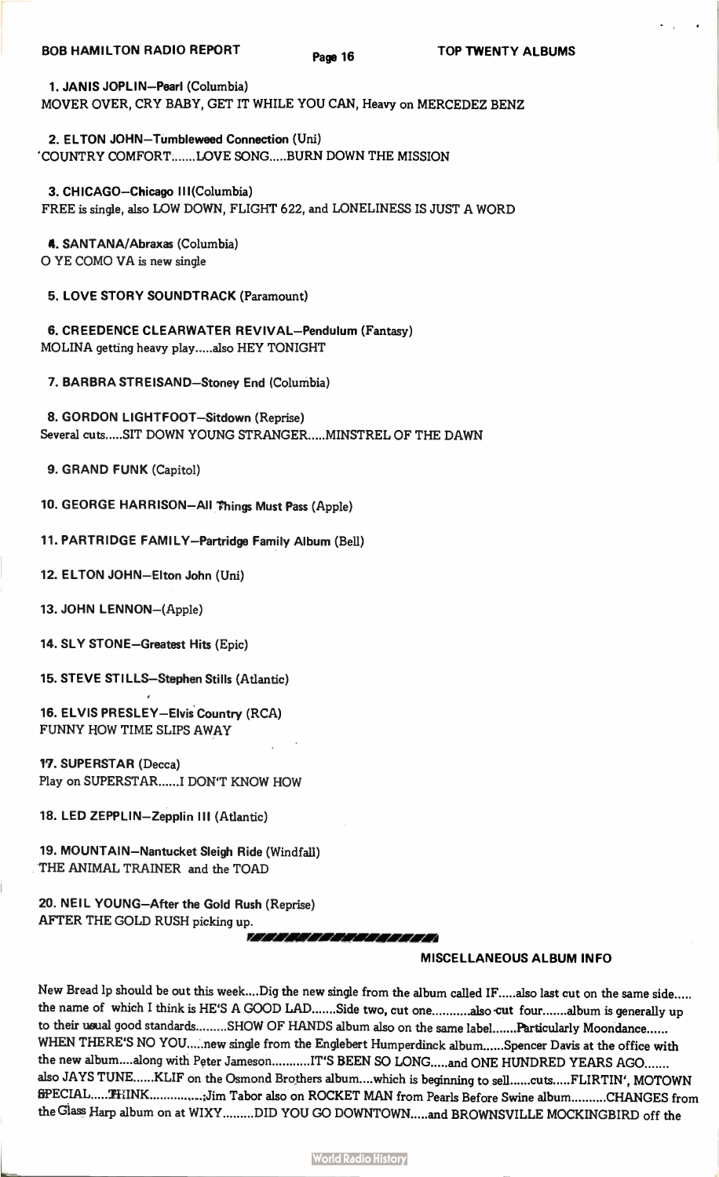1. JANIS JOPLIN-Pearl (Columbia) MOVER OVER, CRY BABY, GET IT WHILE YOU CAN, Heavy on MERCEDEZ BENZ

2. ELTON JOHN—Tumbleweed Connection (Uni) 'COUNTRY COMFORT.......LOVE SONG.....BURN DOWN THE MISSION

3. CHICAGO—Chicago III(Columbia) FREE is single, also LOW DOWN, FLIGHT 622, and LONELINESS IS JUST A WORD

4. SANTANA/Abraxas (Columbia) 0 YE COMO VA is new single

5. LOVE STORY SOUNDTRACK (Paramount)

6. CREEDENCE CLEARWATER REVIVAL—Pendulum (Fantasy) MOLINA getting heavy play ..... also HEY TONIGHT

7. BARBRA STREISAND—Stoney End (Columbia)

8. GORDON LIGHTFOOT—Sitdown (Reprise) Several cuts.....SIT DOWN YOUNG STRANGER.....MINSTREL OF THE DAWN

9. GRAND FUNK (Capitol)

10. GEORGE HARRISON—All Things Must Pass (Apple)

11. PARTRIDGE FAMILY—Partridge Family Album (Bell)

12. ELTON JOHN—Elton John (Uni)

13. JOHN LENNON—(Apple)

14. SLY STONE—Greatest Hits (Epic)

15. STEVE STILLS—Stephen Stills (Atlantic)

16. ELVIS PRESLEY—Elvis Country (RCA) FUNNY HOW TIME SLIPS AWAY

17. SUPERSTAR (Decca) Play on SUPERSTAR ...... I DON'T KNOW HOW

18. LED ZEPPLIN—Zepplin III (Atlantic)

19. MOUNTAIN—Nantucket Sleigh Ride (Windfall) THE ANIMAL TRAINER and the TOAD

20. NEIL YOUNG—After the Gold Rush (Reprise) AFTER THE GOLD RUSH picking up.

111 I II I I WI ICl/ rÀ YAM

# MISCELLANEOUS ALBUM INFO

New Bread lp should be out this week....Dig the new single from the album called IF.....also last cut on the same side..... the name of which I think is HE'S A GOOD LAD .......Side two, cut one ...........also cut four .......album is generally up to their usual good standards ........SHOW OF HANDS album also on the same label .......Particularly Moondance...... WHEN THERE'S NO YOU.....new single from the Englebert Humperdinck album......Spencer Davis at the office with the new album....along with Peter Jameson...........IT'S BEEN SO LONG.....and ONE HUNDRED YEARS AGO....... also JAYS TUNE ......KLIF on the Osmond Brothers album ....which is beginning to sell ......cuts .....FLIRTIN', MOTOWN  $BPECIAL .....$ : THINK ....................Jim Tabor also on ROCKET MAN from Pearls Before Swine album ..........CHANGES from the Glass Harp album on at WIXY.........DID YOU GO DOWNTOWN.....and BROWNSVILLE MOCKINGBIRD off the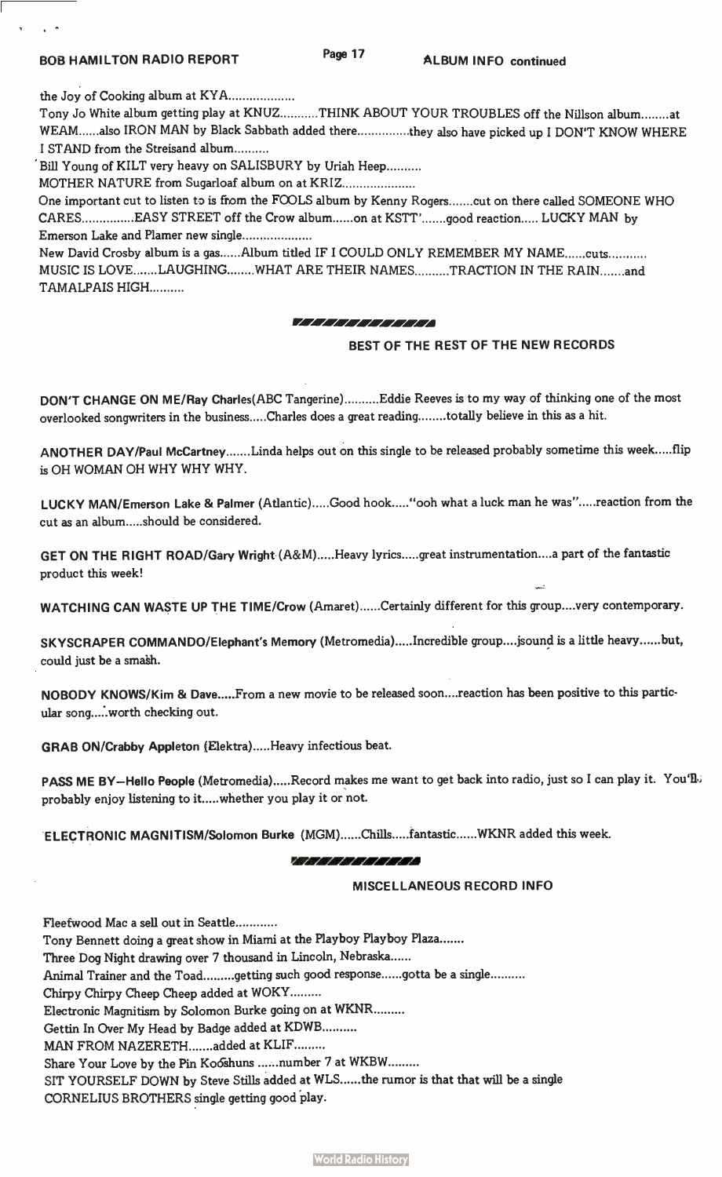$\mathbf{A}$ 

the Joy of Cooking album at KYA

Tony Jo White album getting play at KNUZ...........THINK ABOUT YOUR TROUBLES off the Nillson album........at WEAM ......also IRON MAN by Black Sabbath added there ................they also have picked up I DON'T KNOW WHERE I STAND from the Streisand album

'Bill Young of KILT very heavy on SALISBURY by Uriah Heep

MOTHER NATURE from Sugarloaf album on at KRIZ

One important cut to listen to is from the FOOLS album by Kenny Rogers.......cut on there called SOMEONE WHO CARES................EASY STREET off the Crow album......on at KSTT'.......good reaction..... LUCKY MAN by Emerson Lake and Plamer new single

New David Crosby album is a gas......Album titled IF I COULD ONLY REMEMBER MY NAME......cuts........... MUSIC IS LOVE.......LAUGHING........WHAT ARE THEIR NAMES..........TRACTION IN THE RAIN.......and TAMALPAIS HIGH

#### I I Irà r. I VI I/I A' I' IA

# BEST OF THE REST OF THE NEW RECORDS

DON'T CHANGE ON ME/Ray Charles(ABC Tangerine)..........Eddie Reeves is to my way of thinking one of the most overlooked songwriters in the business.....Charles does a great reading ........totally believe in this as a hit.

ANOTHER DAY/Paul McCartney .......Linda helps out on this single to be released probably sometime this week .....flip is OH WOMAN OH WHY WHY WHY.

LUCKY MAN/Emerson Lake & Palmer (Atlantic).....Good hook....."ooh what a luck man he was".....reaction from the cut as an album.....should be considered.

GET ON THE RIGHT ROAD/Gary Wright (A&M).....Heavy lyrics.....great instrumentation....a part of the fantastic product this week!

WATCHING CAN WASTE UP THE TIME/Crow (Amaret)......Certainly different for this group....very contemporary.

SKYSCRAPER COMMANDO/Elephant's Memory (Metromedia).....Incredible group....jsound is a little heavy......but, could just be a smash.

NOBODY KNOWS/Kim & Dave.....From a new movie to be released soon....reaction has been positive to this particular song.....worth checking out.

GRAB ON/Crabby Appleton (Elektra).....Heavy infectious beat.

PASS ME BY-Hello People (Metromedia).....Record makes me want to get back into radio, just so I can play it. You'll, probably enjoy listening to it.....whether you play it or not.

ELECTRONIC MAGNITISM/Solomon Burke (MGM)......Chills.....fantastic......WKNR added this week.

### P.;i Ir. wi •

# MISCELLANEOUS RECORD INFO

Fleetwood Mac a sell out in Seattle Tony Bennett doing a great show in Miami at the Playboy Playboy Plaza Three Dog Night drawing over 7 thousand in Lincoln, Nebraska Animal Trainer and the Toad .........getting such good response ......gotta be a single ......... Chirpy Chirpy Cheep Cheep added at WOKY Electronic Magnitism by Solomon Burke going on at WKNR Gettin In Over My Head by Badge added at KDWB MAN FROM NAZERETH .......added at KLIF ......... Share Your Love by the Pin Ko6shuns ......number 7 at WKBW......... SIT YOURSELF DOWN by Steve Stills added at WLS ...... the rumor is that that will be a single

CORNELIUS BROTHERS single getting good play.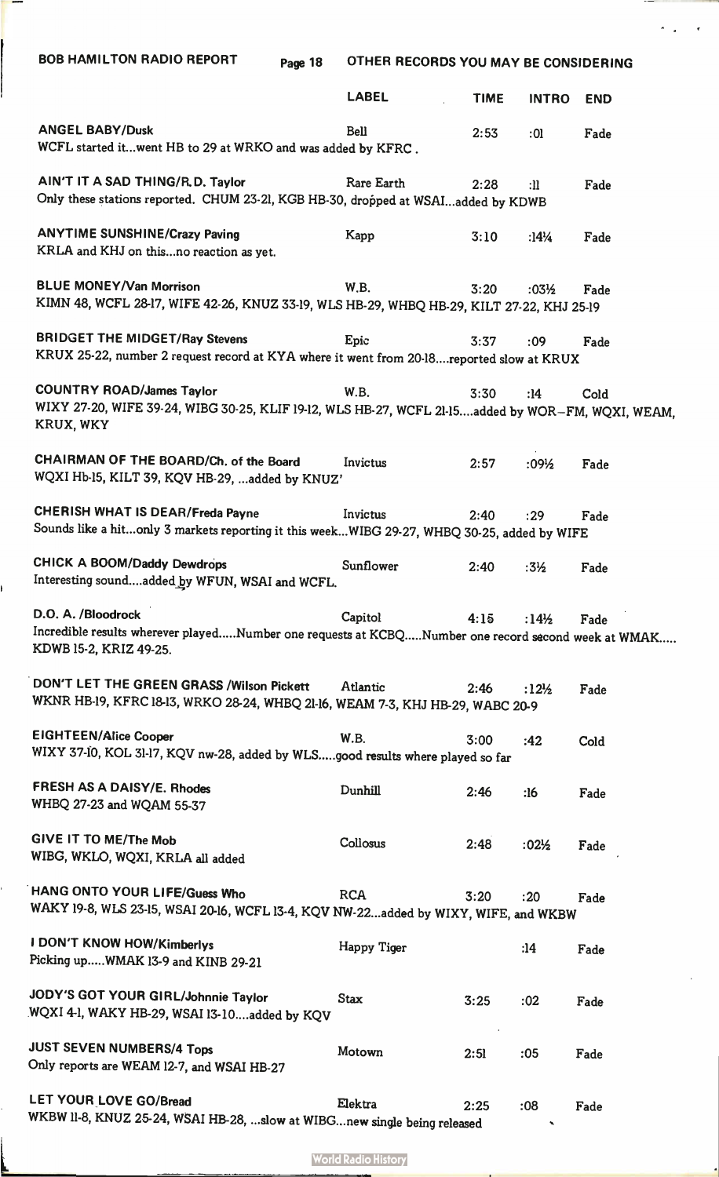| <b>BOB HAMILTON RADIO REPORT</b><br>Page 18                                                                                                        | OTHER RECORDS YOU MAY BE CONSIDERING |             |                                 |            |  |
|----------------------------------------------------------------------------------------------------------------------------------------------------|--------------------------------------|-------------|---------------------------------|------------|--|
|                                                                                                                                                    | <b>LABEL</b>                         | <b>TIME</b> | <b>INTRO</b>                    | <b>END</b> |  |
| <b>ANGEL BABY/Dusk</b><br>WCFL started itwent HB to 29 at WRKO and was added by KFRC.                                                              | Bell                                 | 2:53        | :01                             | Fade       |  |
| AIN'T IT A SAD THING/R.D. Taylor<br>Only these stations reported. CHUM 23-21, KGB HB-30, dropped at WSAIadded by KDWB                              | Rare Earth                           | 2:28        | $:$ $\mathbf{ll}$               | Fade       |  |
| <b>ANYTIME SUNSHINE/Crazy Paving</b><br>KRLA and KHJ on thisno reaction as yet.                                                                    | Kapp                                 | 3:10        | :14 <sup><math>1/4</math></sup> | Fade       |  |
| <b>BLUE MONEY/Van Morrison</b><br>KIMN 48, WCFL 28-17, WIFE 42-26, KNUZ 33-19, WLS HB-29, WHBQ HB-29, KILT 27-22, KHJ 25-19                        | W.B.                                 | 3:20        | $:03\frac{1}{2}$                | Fade       |  |
| <b>BRIDGET THE MIDGET/Ray Stevens</b><br>KRUX 25-22, number 2 request record at KYA where it went from 20-18reported slow at KRUX                  | Epic                                 | 3:37        | :09                             | Fade       |  |
| <b>COUNTRY ROAD/James Taylor</b><br>WIXY 27-20, WIFE 39-24, WIBG 30-25, KLIF 19-12, WLS HB-27, WCFL 21-15added by WOR-FM, WQXI, WEAM,<br>KRUX, WKY | <b>W.B.</b>                          | 3:30        | :14                             | Cold       |  |
| CHAIRMAN OF THE BOARD/Ch. of the Board<br>WQXI Hb-15, KILT 39, KQV HB-29, added by KNUZ'                                                           | Invictus                             | 2:57        | $:09\frac{1}{2}$                | Fade       |  |
| <b>CHERISH WHAT IS DEAR/Freda Payne</b><br>Sounds like a hitonly 3 markets reporting it this weekWIBG 29-27, WHBQ 30-25, added by WIFE             | Invictus                             | 2:40        | : 29                            | Fade       |  |
| <b>CHICK A BOOM/Daddy Dewdrops</b><br>Interesting soundadded by WFUN, WSAI and WCFL.                                                               | Sunflower                            | 2:40        | $:3\frac{1}{2}$                 | Fade       |  |
| D.O. A. /Bloodrock<br>Incredible results wherever playedNumber one requests at KCBQNumber one record second week at WMAK<br>KDWB 15-2, KRIZ 49-25. | Capitol                              | 4:15        | :14 <sup><math>/2</math></sup>  | Fade       |  |
| DON'T LET THE GREEN GRASS / Wilson Pickett<br>WKNR HB-19, KFRC 18-13, WRKO 28-24, WHBQ 21-16, WEAM 7-3, KHJ HB-29, WABC 20-9                       | Atlantic                             | 2:46        | :12 <sup>1</sup> / <sub>2</sub> | Fade       |  |
| <b>EIGHTEEN/Alice Cooper</b><br>WIXY 37-10, KOL 31-17, KQV nw-28, added by WLSgood results where played so far                                     | <b>W.B.</b>                          | 3:00        | :42                             | Cold       |  |
| FRESH AS A DAISY/E. Rhodes<br>WHBQ 27-23 and WQAM 55-37                                                                                            | Dunhill                              | 2:46        | :16                             | Fade       |  |
| GIVE IT TO ME/The Mob<br>WIBG, WKLO, WQXI, KRLA all added                                                                                          | Collosus                             | 2:48        | $:02\frac{1}{2}$                | Fade       |  |
| HANG ONTO YOUR LIFE/Guess Who<br>WAKY 19-8, WLS 23-15, WSAI 20-16, WCFL 13-4, KQV NW-22added by WIXY, WIFE, and WKBW                               | <b>RCA</b>                           | 3:20        | :20                             | Fade       |  |
| <b>I DON'T KNOW HOW/Kimberlys</b><br>Picking upWMAK 13-9 and KINB 29-21                                                                            | Happy Tiger                          |             | :14                             | Fade       |  |
| JODY'S GOT YOUR GIRL/Johnnie Taylor<br>WQXI 4-1, WAKY HB-29, WSAI 13-10added by KQV                                                                | <b>Stax</b>                          | 3:25        | :02                             | Fade       |  |
| <b>JUST SEVEN NUMBERS/4 Tops</b><br>Only reports are WEAM 12-7, and WSAI HB-27                                                                     | Motown                               | 2:51        | :05                             | Fade       |  |
| LET YOUR LOVE GO/Bread<br>WKBW II-8, KNUZ 25-24, WSAI HB-28, slow at WIBGnew single being released                                                 | Elektra                              | 2:25        | :08                             | Fade       |  |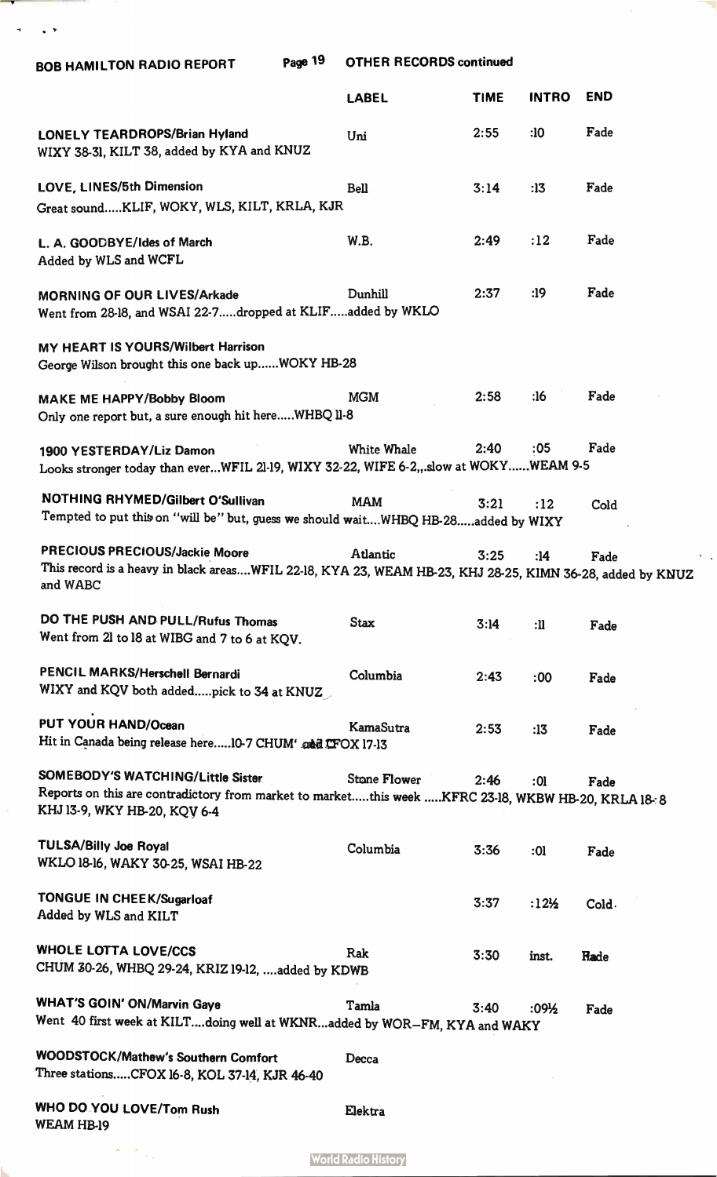$\sigma = \sqrt{8}$ 

|                                                                                                                                                                                | <b>LABEL</b>        | <b>TIME</b> | <b>INTRO</b>     | <b>END</b> |
|--------------------------------------------------------------------------------------------------------------------------------------------------------------------------------|---------------------|-------------|------------------|------------|
| <b>LONELY TEARDROPS/Brian Hyland</b><br>WIXY 38-31, KILT 38, added by KYA and KNUZ                                                                                             | Uni                 | 2:55        | :10              | Fade       |
| LOVE, LINES/5th Dimension<br>Great soundKLIF, WOKY, WLS, KILT, KRLA, KJR                                                                                                       | <b>Bell</b>         | 3:14        | :13              | Fade       |
| L. A. GOODBYE/Ides of March<br>Added by WLS and WCFL                                                                                                                           | <b>W.B.</b>         | 2:49        | :12              | Fade       |
| <b>MORNING OF OUR LIVES/Arkade</b><br>Went from 28-18, and WSAI 22-7dropped at KLIFadded by WKLO                                                                               | Dunhill             | 2:37        | :19              | Fade       |
| MY HEART IS YOURS/Wilbert Harrison<br>George Wilson brought this one back upWOKY HB-28                                                                                         |                     |             |                  |            |
| <b>MAKE ME HAPPY/Bobby Bloom</b><br>Only one report but, a sure enough hit hereWHBQ II-8                                                                                       | <b>MGM</b>          | 2:58        | :16              | Fade       |
| 1900 YESTERDAY/Liz Damon<br>Looks stronger today than everWFIL 21-19, WIXY 32-22, WIFE 6-2, slow at WOKYWEAM 9-5                                                               | <b>White Whale</b>  | 2:40        | :05              | Fade       |
| NOTHING RHYMED/Gilbert O'Sullivan<br>Tempted to put this on "will be" but, guess we should waitWHBQ HB-28added by WIXY                                                         | <b>MAM</b>          | 3:21        | :12              | Cold       |
| PRECIOUS PRECIOUS/Jackie Moore<br>This record is a heavy in black areasWFIL 22-18, KYA 23, WEAM HB-23, KHJ 28-25, KIMN 36-28, added by KNUZ<br>and WABC                        | Atlantic            | 3:25        | :14              | Fade       |
| DO THE PUSH AND PULL/Rufus Thomas<br>Went from 21 to 18 at WIBG and 7 to 6 at KQV.                                                                                             | <b>Stax</b>         | 3:14        | :                | Fade       |
| PENCIL MARKS/Herschell Bernardi<br>WIXY and KQV both addedpick to 34 at KNUZ                                                                                                   | Columbia            | 2:43        | :00              | Fade       |
| <b>PUT YOUR HAND/Ocean</b><br>Hit in Canada being release here 10-7 CHUM' and LFOX 17-13                                                                                       | KamaSutra           | 2:53        | :13              | Fade       |
| <b>SOMEBODY'S WATCHING/Little Sister</b><br>Reports on this are contradictory from market to marketthis week KFRC 23-18, WKBW HB-20, KRLA 18-8<br>KHJ 13-9, WKY HB-20, KQV 6-4 | <b>Stone Flower</b> | 2:46        | :01              | Fade       |
| <b>TULSA/Billy Joe Royal</b><br>WKLO 18-16, WAKY 30-25, WSAI HB-22                                                                                                             | Columbia            | 3:36        | : 01             | Fade       |
| <b>TONGUE IN CHEEK/Sugarloaf</b><br>Added by WLS and KILT                                                                                                                      |                     | 3:37        | $:12\frac{1}{2}$ | Cold.      |
| <b>WHOLE LOTTA LOVE/CCS</b><br>CHUM 30-26, WHBQ 29-24, KRIZ 19-12, added by KDWB                                                                                               | Rak                 | 3:30        | inst.            | Rade       |
| <b>WHAT'S GOIN' ON/Marvin Gaye</b><br>Went 40 first week at KILTdoing well at WKNRadded by WOR-FM, KYA and WAKY                                                                | Tamla               | 3:40        | :09½             | Fade       |
| <b>WOODSTOCK/Mathew's Southern Comfort</b><br>Three stationsCFOX 16-8, KOL 37-14, KJR 46-40                                                                                    | Decca               |             |                  |            |
| WHO DO YOU LOVE/Tom Rush<br><b>WEAM HB-19</b>                                                                                                                                  | Elektra             |             |                  |            |

 $\hat{\mathcal{A}}$ 

**World Radio History** 

 $\frac{1}{\sqrt{2}}\sum_{i=1}^{n}$ 

 $\mathcal{A}$